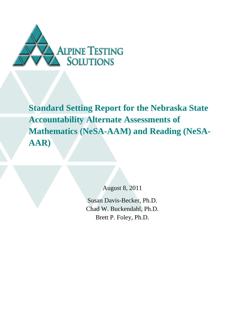

**Standard Setting Report for the Nebraska State Accountability Alternate Assessments of Mathematics (NeSA-AAM) and Reading (NeSA-AAR)**

August 8, 2011

Susan Davis-Becker, Ph.D. Chad W. Buckendahl, Ph.D. Brett P. Foley, Ph.D.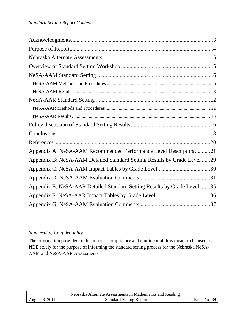| Appendix A: NeSA-AAM Recommended Performance Level Descriptors21         |
|--------------------------------------------------------------------------|
| Appendix B: NeSA-AAM Detailed Standard Setting Results by Grade Level 29 |
|                                                                          |
|                                                                          |
| Appendix E: NeSA-AAR Detailed Standard Setting Results by Grade Level 35 |
|                                                                          |
|                                                                          |

## *Statement of Confidentiality*

The information provided in this report is proprietary and confidential. It is meant to be used by NDE solely for the purpose of informing the standard setting process for the Nebraska NeSA-AAM and NeSA-AAR Assessments.

|                       | Nebraska Alternate Assessments in Mathematics and Reading |              |
|-----------------------|-----------------------------------------------------------|--------------|
| <b>August 8, 2011</b> | <b>Standard Setting Report</b>                            | Page 2 of 39 |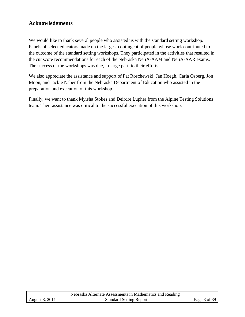# <span id="page-2-0"></span>**Acknowledgments**

We would like to thank several people who assisted us with the standard setting workshop. Panels of select educators made up the largest contingent of people whose work contributed to the outcome of the standard setting workshops. They participated in the activities that resulted in the cut score recommendations for each of the Nebraska NeSA-AAM and NeSA-AAR exams. The success of the workshops was due, in large part, to their efforts.

We also appreciate the assistance and support of Pat Roschewski, Jan Hoegh, Carla Osberg, Jon Moon, and Jackie Naber from the Nebraska Department of Education who assisted in the preparation and execution of this workshop.

Finally, we want to thank Myisha Stokes and Deirdre Lupher from the Alpine Testing Solutions team. Their assistance was critical to the successful execution of this workshop.

|                       | Nebraska Alternate Assessments in Mathematics and Reading |              |
|-----------------------|-----------------------------------------------------------|--------------|
| <b>August 8, 2011</b> | <b>Standard Setting Report</b>                            | Page 3 of 39 |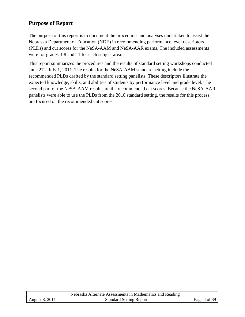## <span id="page-3-0"></span>**Purpose of Report**

The purpose of this report is to document the procedures and analyses undertaken to assist the Nebraska Department of Education (NDE) in recommending performance level descriptors (PLDs) and cut scores for the NeSA-AAM and NeSA-AAR exams. The included assessments were for grades 3-8 and 11 for each subject area.

This report summarizes the procedures and the results of standard setting workshops conducted June 27 – July 1, 2011. The results for the NeSA-AAM standard setting include the recommended PLDs drafted by the standard setting panelists. These descriptors illustrate the expected knowledge, skills, and abilities of students by performance level and grade level. The second part of the NeSA-AAM results are the recommended cut scores. Because the NeSA-AAR panelists were able to use the PLDs from the 2010 standard setting, the results for this process are focused on the recommended cut scores.

|                       | Nebraska Alternate Assessments in Mathematics and Reading |              |
|-----------------------|-----------------------------------------------------------|--------------|
| <b>August 8, 2011</b> | <b>Standard Setting Report</b>                            | Page 4 of 39 |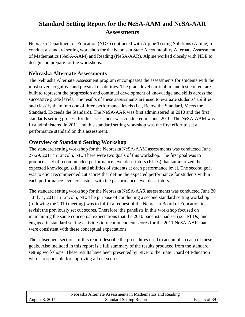# **Standard Setting Report for the NeSA-AAM and NeSA-AAR Assessments**

Nebraska Department of Education (NDE) contracted with Alpine Testing Solutions (Alpine) to conduct a standard setting workshop for the Nebraska State Accountability Alternate Assessment of Mathematics (NeSA-AAM) and Reading (NeSA-AAR). Alpine worked closely with NDE to design and prepare for the workshops.

## <span id="page-4-0"></span>**Nebraska Alternate Assessments**

The Nebraska Alternate Assessment program encompasses the assessments for students with the most severe cognitive and physical disabilities. The grade level curriculum and test content are built to represent the progression and continual development of knowledge and skills across the successive grade levels. The results of these assessments are used to evaluate students' abilities and classify them into one of three performance levels (i.e., Below the Standard, Meets the Standard, Exceeds the Standard). The NeSA-AAR was first administered in 2010 and the first standards setting process for this assessment was conducted in June, 2010. The NeSA-AAM was first administered in 2011 and this standard setting workshop was the first effort to set a performance standard on this assessment.

## <span id="page-4-1"></span>**Overview of Standard Setting Workshop**

The standard setting workshop for the Nebraska NeSA-AAM assessments was conducted June 27-29, 2011 in Lincoln, NE. There were two goals of this workshop. The first goal was to produce a set of recommended performance level descriptors (PLDs) that summarized the expected knowledge, skills and abilities of students at each performance level. The second goal was to elicit recommended cut scores that define the expected performance for students within each performance level consistent with the performance level descriptors.

The standard setting workshop for the Nebraska NeSA-AAR assessments was conducted June 30 – July 1, 2011 in Lincoln, NE. The purpose of conducting a second standard setting workshop (following the 2010 meeting) was to fulfill a request of the Nebraska Board of Education to revisit the previously set cut scores. Therefore, the panelists in this workshop focused on maintaining the same conceptual expectations that the 2010 panelists had set (i.e., PLDs) and engaged in standard setting activities to recommend cut scores for the 2011 NeSA-AAR that were consistent with these conceptual expectations.

The subsequent sections of this report describe the procedures used to accomplish each of these goals. Also included in this report is a full summary of the results produced from the standard setting workshops. These results have been presented by NDE to the State Board of Education who is responsible for approving all cut scores.

|                       | Nebraska Alternate Assessments in Mathematics and Reading |              |
|-----------------------|-----------------------------------------------------------|--------------|
| <b>August 8, 2011</b> | <b>Standard Setting Report</b>                            | Page 5 of 39 |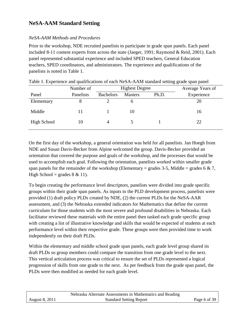# <span id="page-5-0"></span>**NeSA-AAM Standard Setting**

## <span id="page-5-1"></span>*NeSA-AAM Methods and Procedures*

Prior to the workshop, NDE recruited panelists to participate in grade span panels. Each panel included 8-11 content experts from across the state (Jaeger, 1991; Raymond & Reid, 2001). Each panel represented substantial experience and included SPED teachers, General Education teachers, SPED coordinators, and administrators. The experience and qualifications of the panelists is noted in Table 1.

|             |           |                  |                       | ັ     |                  |
|-------------|-----------|------------------|-----------------------|-------|------------------|
|             | Number of |                  | <b>Highest Degree</b> |       | Average Years of |
| Panel       | Panelists | <b>Bachelors</b> | <b>Masters</b>        | Ph.D. | Experience       |
| Elementary  |           |                  |                       |       | 20               |
| Middle      |           |                  | 10                    |       | 16               |
| High School | 10        |                  |                       |       | 22               |

|  | Table 1. Experience and qualifications of each NeSA-AAM standard setting grade span panel |  |  |  |  |
|--|-------------------------------------------------------------------------------------------|--|--|--|--|
|  |                                                                                           |  |  |  |  |

On the first day of the workshop, a general orientation was held for all panelists. Jan Hoegh from NDE and Susan Davis-Becker from Alpine welcomed the group. Davis-Becker provided an orientation that covered the purpose and goals of the workshop, and the processes that would be used to accomplish each goal. Following the orientation, panelists worked within smaller grade span panels for the remainder of the workshop (Elementary = grades 3-5, Middle = grades 6  $\& 7$ , High School = grades  $8 \& 11$ ).

To begin creating the performance level descriptors, panelists were divided into grade specific groups within their grade span panels. As inputs to the PLD development process, panelists were provided (1) draft policy PLDs created by NDE, (2) the current PLDs for the NeSA-AAR assessment, and (3) the Nebraska extended indicators for Mathematics that define the current curriculum for those students with the most severe and profound disabilities in Nebraska. Each facilitator reviewed these materials with the entire panel then tasked each grade specific group with creating a list of illustrative knowledge and skills that would be expected of students at each performance level within their respective grade. These groups were then provided time to work independently on their draft PLDs.

Within the elementary and middle school grade span panels, each grade level group shared its draft PLDs so group members could compare the transition from one grade level to the next. This vertical articulation process was critical to ensure the set of PLDs represented a logical progression of skills from one grade to the next. As per feedback from the grade span panel, the PLDs were then modified as needed for each grade level.

|                       | Nebraska Alternate Assessments in Mathematics and Reading |              |
|-----------------------|-----------------------------------------------------------|--------------|
| <b>August 8, 2011</b> | <b>Standard Setting Report</b>                            | Page 6 of 39 |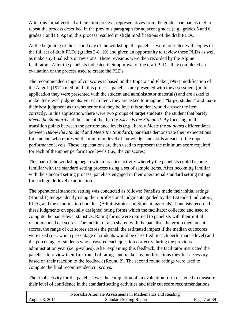After this initial vertical articulation process, representatives from the grade span panels met to repeat the process described in the previous paragraph for adjacent grades (e.g., grades 5 and 6, grades 7 and 8). Again, this process resulted in slight modifications of the draft PLDs.

At the beginning of the second day of the workshop, the panelists were presented with copies of the full set of draft PLDs (grades 3-8, 10) and given an opportunity to review these PLDs as well as make any final edits or revisions. These revisions were then recorded by the Alpine facilitators. After the panelists indicated their approval of the draft PLDs, they completed an evaluation of the process used to create the PLDs.

The recommended range of cut scores is based on the Impara and Plake (1997) modification of the Angoff (1971) method. In this process, panelists are presented with the assessment (in this application they were presented with the student and administrator materials) and are asked to make item-level judgments. For each item, they are asked to imagine a "target student" and make their best judgment as to whether or not they believe this student would answer the item correctly. In this application, there were two groups of target students: the student that barely *Meets the Standard* and the student that barely *Exceeds the Standard*. By focusing on the transition points between the performance levels (e.g., barely *Meets the standard* differentiates between *Below the Standard* and *Meets the Standard*), panelists demonstrate their expectations for students who represent the minimum level of knowledge and skills at each of the upper performance levels. These expectations are then used to represent the minimum score required for each of the upper performance levels (i.e., the cut scores).

This part of the workshop began with a practice activity whereby the panelists could become familiar with the standard setting process using a set of sample items. After becoming familiar with the standard setting process, panelists engaged in their operational standard setting ratings for each grade-level examination.

The operational standard setting was conducted as follows: Panelists made their initial ratings (Round 1) independently using their professional judgments guided by the Extended Indicators, PLDs, and the examination booklets (Administrator and Student materials). Panelists recorded these judgments on specially designed rating forms which the facilitator collected and used to compute the panel-level statistics. Rating forms were returned to panelists with their initial recommended cut scores. The facilitator also shared with the panelists the group median cut scores, the range of cut scores across the panel, the estimated impact if the median cut scores were used (i.e., which percentage of students would be classified in each performance level) and the percentage of students who answered each question correctly during the previous administration year (i.e. p-values). After explaining this feedback, the facilitator instructed the panelists to review their first round of ratings and make any modifications they felt necessary based on their reaction to the feedback (Round 2). The second round ratings were used to compute the final recommended cut scores.

The final activity for the panelists was the completion of an evaluation form designed to measure their level of confidence in the standard setting activities and their cut score recommendations.

|                       | Nebraska Alternate Assessments in Mathematics and Reading |              |
|-----------------------|-----------------------------------------------------------|--------------|
| <b>August 8, 2011</b> | <b>Standard Setting Report</b>                            | Page 7 of 39 |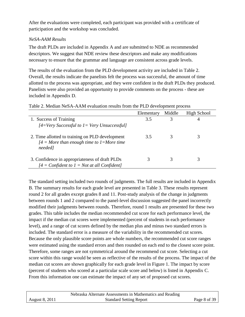After the evaluations were completed, each participant was provided with a certificate of participation and the workshop was concluded.

## <span id="page-7-0"></span>*NeSA-AAM Results*

The draft PLDs are included in Appendix A and are submitted to NDE as recommended descriptors. We suggest that NDE review these descriptors and make any modifications necessary to ensure that the grammar and language are consistent across grade levels.

The results of the evaluation from the PLD development activity are included in Table 2. Overall, the results indicate the panelists felt the process was successful, the amount of time allotted to the process was appropriate, and they were confident in the draft PLDs they produced. Panelists were also provided an opportunity to provide comments on the process - these are included in Appendix D.

|                                                                                                              | Elementary | Middle | High School |
|--------------------------------------------------------------------------------------------------------------|------------|--------|-------------|
| 1. Success of Training<br>$[4=V$ ery Successful to $1=$ Very Unsuccessful]                                   | 3.5        | 3      |             |
| 2. Time allotted to training on PLD development<br>$[4]$ = More than enough time to 1 = More time<br>needed] | 3.5        |        |             |
| 3. Confidence in appropriateness of draft PLDs<br>$[4]$ = Confident to $1$ = Not at all Confident]           |            |        |             |

#### Table 2. Median NeSA-AAM evaluation results from the PLD development process

The standard setting included two rounds of judgments. The full results are included in Appendix B. The summary results for each grade level are presented in Table 3. These results represent round 2 for all grades except grades 8 and 11. Post-study analysis of the change in judgments between rounds 1 and 2 compared to the panel-level discussion suggested the panel incorrectly modified their judgments between rounds. Therefore, round 1 results are presented for these two grades. This table includes the median recommended cut score for each performance level, the impact if the median cut scores were implemented (percent of students in each performance level), and a range of cut scores defined by the median plus and minus two standard errors is included. The standard error is a measure of the variability in the recommended cut scores. Because the only plausible score points are whole numbers, the recommended cut score ranges were estimated using the standard errors and then rounded on each end to the closest score point. Therefore, some ranges are not symmetrical around the recommend cut score. Selecting a cut score within this range would be seen as reflective of the results of the process. The impact of the median cut scores are shown graphically for each grade level in Figure 1. The impact by score (percent of students who scored at a particular scale score and below) is listed in Appendix C. From this information one can estimate the impact of any set of proposed cut scores.

|                | Nebraska Alternate Assessments in Mathematics and Reading |              |
|----------------|-----------------------------------------------------------|--------------|
| August 8, 2011 | <b>Standard Setting Report</b>                            | Page 8 of 39 |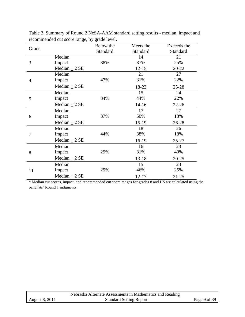|                |                   | Below the | Meets the | Exceeds the |
|----------------|-------------------|-----------|-----------|-------------|
| Grade          |                   | Standard  | Standard  | Standard    |
|                | Median            |           | 14        | 21          |
| 3              | Impact            | 38%       | 37%       | 25%         |
|                | Median $\pm$ 2 SE |           | $12 - 15$ | $20 - 22$   |
|                | Median            |           | 21        | 27          |
| $\overline{4}$ | Impact            | 47%       | 31%       | 22%         |
|                | Median $\pm$ 2 SE |           | 18-23     | $25 - 28$   |
|                | Median            |           | 15        | 24          |
| 5              | Impact            | 34%       | 44%       | 22%         |
|                | Median $\pm$ 2 SE |           | $14 - 16$ | $22 - 26$   |
|                | Median            |           | 17        | 27          |
| 6              | Impact            | 37%       | 50%       | 13%         |
|                | Median $\pm$ 2 SE |           | $15-19$   | 26-28       |
|                | Median            |           | 18        | 26          |
| 7              | Impact            | 44%       | 38%       | 18%         |
|                | Median $\pm$ 2 SE |           | 16-19     | $25 - 27$   |
|                | Median            |           | 16        | 23          |
| 8              | Impact            | 29%       | 31%       | 40%         |
|                | Median $+2$ SE    |           | $13 - 18$ | $20 - 25$   |
|                | Median            |           | 15        | 23          |
| 11             | Impact            | 29%       | 46%       | 25%         |
|                | Median $\pm$ 2 SE |           | $12 - 17$ | $21 - 25$   |

Table 3. Summary of Round 2 NeSA-AAM standard setting results - median, impact and recommended cut score range, by grade level.

\* Median cut scores, impact, and recommended cut score ranges for grades 8 and HS are calculated using the panelists' Round 1 judgments

|                       | Nebraska Alternate Assessments in Mathematics and Reading |              |
|-----------------------|-----------------------------------------------------------|--------------|
| <b>August 8, 2011</b> | <b>Standard Setting Report</b>                            | Page 9 of 39 |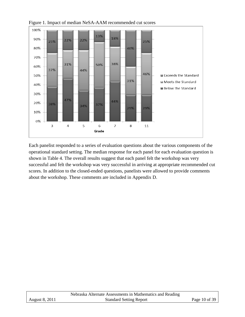

Figure 1. Impact of median NeSA-AAM recommended cut scores

Each panelist responded to a series of evaluation questions about the various components of the operational standard setting. The median response for each panel for each evaluation question is shown in Table 4. The overall results suggest that each panel felt the workshop was very successful and felt the workshop was very successful in arriving at appropriate recommended cut scores. In addition to the closed-ended questions, panelists were allowed to provide comments about the workshop. These comments are included in Appendix D.

|                | Nebraska Alternate Assessments in Mathematics and Reading |               |
|----------------|-----------------------------------------------------------|---------------|
| August 8, 2011 | <b>Standard Setting Report</b>                            | Page 10 of 39 |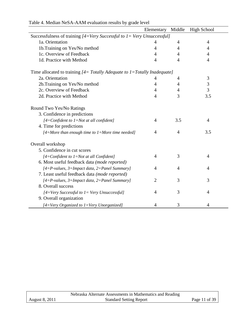|                                                                               | Elementary     | Middle         | <b>High School</b> |
|-------------------------------------------------------------------------------|----------------|----------------|--------------------|
| Successfulness of training $[4=V$ ery Successful to $I=V$ ery Unsuccessful]   |                |                |                    |
| 1a. Orientation                                                               | 4              | $\overline{4}$ | $\overline{4}$     |
| 1b. Training on Yes/No method                                                 | $\overline{4}$ | $\overline{4}$ | $\overline{4}$     |
| 1c. Overview of Feedback                                                      | 4              | 4              | 4                  |
| 1d. Practice with Method                                                      | $\overline{4}$ | $\overline{4}$ | $\overline{4}$     |
| Time allocated to training $[4 = Totally Adequate to 1 = Totally Indeeduate]$ |                |                |                    |
| 2a. Orientation                                                               | 4              | 4              | 3                  |
| 2b. Training on Yes/No method                                                 | $\overline{4}$ | $\overline{4}$ | 3                  |
| 2c. Overview of Feedback                                                      | 4              | 4              | 3                  |
| 2d. Practice with Method                                                      | $\overline{4}$ | 3              | 3.5                |
| Round Two Yes/No Ratings                                                      |                |                |                    |
| 3. Confidence in predictions                                                  |                |                |                    |
| $[4=$ Confident to $1=$ Not at all confident]                                 | $\overline{4}$ | 3.5            | $\overline{4}$     |
| 4. Time for predictions                                                       |                |                |                    |
| $[4=More than enough time to 1=More time needed]$                             | 4              | $\overline{4}$ | 3.5                |
| Overall workshop                                                              |                |                |                    |
| 5. Confidence in cut scores                                                   |                |                |                    |
| $[4=$ Confident to $1=$ Not at all Confident]                                 | 4              | 3              | 4                  |
| 6. Most useful feedback data (mode reported)                                  |                |                |                    |
| $[4 = P$ -values, 3=Impact data, 2=Panel Summary]                             | $\overline{4}$ | $\overline{4}$ | 4                  |
| 7. Least useful feedback data (mode reported)                                 |                |                |                    |
| $[4 = P$ -values, 3=Impact data, 2=Panel Summary]                             | $\overline{2}$ | 3              | 3                  |
| 8. Overall success                                                            |                |                |                    |
| $[4=Very$ Successful to $1=Very$ Unsuccessful]                                | $\overline{4}$ | 3              | $\overline{4}$     |
| 9. Overall organization                                                       |                |                |                    |
| [4=Very Organized to 1=Very Unorganized]                                      | 4              | 3              | 4                  |

# Table 4. Median NeSA-AAM evaluation results by grade level

|                | Nebraska Alternate Assessments in Mathematics and Reading |               |
|----------------|-----------------------------------------------------------|---------------|
| August 8, 2011 | <b>Standard Setting Report</b>                            | Page 11 of 39 |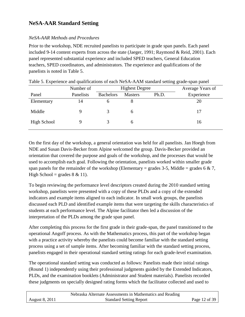# <span id="page-11-0"></span>**NeSA-AAR Standard Setting**

## <span id="page-11-1"></span>*NeSA-AAR Methods and Procedures*

Prior to the workshop, NDE recruited panelists to participate in grade span panels. Each panel included 9-14 content experts from across the state (Jaeger, 1991; Raymond & Reid, 2001). Each panel represented substantial experience and included SPED teachers, General Education teachers, SPED coordinators, and administrators. The experience and qualifications of the panelists is noted in Table 5.

|             |           |                  |                       | ັ     |                  |
|-------------|-----------|------------------|-----------------------|-------|------------------|
|             | Number of |                  | <b>Highest Degree</b> |       | Average Years of |
| Panel       | Panelists | <b>Bachelors</b> | <b>Masters</b>        | Ph.D. | Experience       |
| Elementary  | ι4        | n                |                       |       | 20               |
| Middle      |           |                  |                       |       | 17               |
| High School |           |                  |                       |       | 16               |

|  | Table 5. Experience and qualifications of each NeSA-AAM standard setting grade-span panel |  |  |  |
|--|-------------------------------------------------------------------------------------------|--|--|--|
|  |                                                                                           |  |  |  |

On the first day of the workshop, a general orientation was held for all panelists. Jan Hoegh from NDE and Susan Davis-Becker from Alpine welcomed the group. Davis-Becker provided an orientation that covered the purpose and goals of the workshop, and the processes that would be used to accomplish each goal. Following the orientation, panelists worked within smaller grade span panels for the remainder of the workshop (Elementary = grades 3-5, Middle = grades 6  $\& 7$ , High School = grades  $8 \& 11$ ).

To begin reviewing the performance level descriptors created during the 2010 standard setting workshop, panelists were presented with a copy of these PLDs and a copy of the extended indicators and example items aligned to each indicator. In small work groups, the panelists discussed each PLD and identified example items that were targeting the skills characteristics of students at each performance level. The Alpine facilitator then led a discussion of the interpretation of the PLDs among the grade span panel.

After completing this process for the first grade in their grade-span, the panel transitioned to the operational Angoff process. As with the Mathematics process, this part of the workshop began with a practice activity whereby the panelists could become familiar with the standard setting process using a set of sample items. After becoming familiar with the standard setting process, panelists engaged in their operational standard setting ratings for each grade-level examination.

The operational standard setting was conducted as follows: Panelists made their initial ratings (Round 1) independently using their professional judgments guided by the Extended Indicators, PLDs, and the examination booklets (Administrator and Student materials). Panelists recorded these judgments on specially designed rating forms which the facilitator collected and used to

|                       | Nebraska Alternate Assessments in Mathematics and Reading |               |
|-----------------------|-----------------------------------------------------------|---------------|
| <b>August 8, 2011</b> | <b>Standard Setting Report</b>                            | Page 12 of 39 |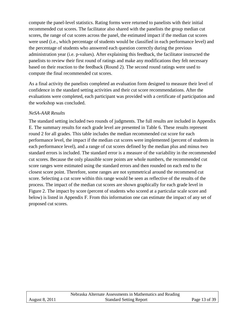compute the panel-level statistics. Rating forms were returned to panelists with their initial recommended cut scores. The facilitator also shared with the panelists the group median cut scores, the range of cut scores across the panel, the estimated impact if the median cut scores were used (i.e., which percentage of students would be classified in each performance level) and the percentage of students who answered each question correctly during the previous administration year (i.e. p-values). After explaining this feedback, the facilitator instructed the panelists to review their first round of ratings and make any modifications they felt necessary based on their reaction to the feedback (Round 2). The second round ratings were used to compute the final recommended cut scores.

As a final activity the panelists completed an evaluation form designed to measure their level of confidence in the standard setting activities and their cut score recommendations. After the evaluations were completed, each participant was provided with a certificate of participation and the workshop was concluded.

### <span id="page-12-0"></span>*NeSA-AAR Results*

The standard setting included two rounds of judgments. The full results are included in Appendix E. The summary results for each grade level are presented in Table 6. These results represent round 2 for all grades. This table includes the median recommended cut score for each performance level, the impact if the median cut scores were implemented (percent of students in each performance level), and a range of cut scores defined by the median plus and minus two standard errors is included. The standard error is a measure of the variability in the recommended cut scores. Because the only plausible score points are whole numbers, the recommended cut score ranges were estimated using the standard errors and then rounded on each end to the closest score point. Therefore, some ranges are not symmetrical around the recommend cut score. Selecting a cut score within this range would be seen as reflective of the results of the process. The impact of the median cut scores are shown graphically for each grade level in Figure 2. The impact by score (percent of students who scored at a particular scale score and below) is listed in Appendix F. From this information one can estimate the impact of any set of proposed cut scores.

|                       | Nebraska Alternate Assessments in Mathematics and Reading |               |
|-----------------------|-----------------------------------------------------------|---------------|
| <b>August 8, 2011</b> | <b>Standard Setting Report</b>                            | Page 13 of 39 |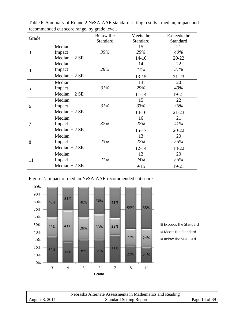|                |                   | Below the | Meets the | Exceeds the |
|----------------|-------------------|-----------|-----------|-------------|
| Grade          |                   | Standard  | Standard  | Standard    |
|                | Median            |           | 15        | 21          |
| 3              | Impact            | 35%       | 25%       | 40%         |
|                | Median $\pm$ 2 SE |           | $14 - 16$ | $20 - 22$   |
|                | Median            |           | 14        | 22          |
| $\overline{4}$ | Impact            | 28%       | 41%       | 31%         |
|                | Median $\pm$ 2 SE |           | $13 - 15$ | $21 - 23$   |
|                | Median            |           | 13        | 20          |
| 5              | Impact            | 31%       | 29%       | 40%         |
|                | Median $\pm$ 2 SE |           | $11 - 14$ | $19-21$     |
|                | Median            |           | 15        | 22          |
| 6              | Impact            | 31%       | 33%       | 36%         |
|                | Median $\pm$ 2 SE |           | $14-16$   | $21 - 23$   |
|                | Median            |           | 16        | 21          |
| 7              | Impact            | 37%       | 22%       | 41%         |
|                | $Median + 2 SE$   |           | $15 - 17$ | $20 - 22$   |
|                | Median            |           | 13        | 20          |
| 8              | Impact            | 23%       | 22%       | 55%         |
|                | Median $\pm$ 2 SE |           | $12 - 14$ | 18-22       |
|                | Median            |           | 12        | 20          |
| 11             | Impact            | 21%       | 24%       | 55%         |
|                | Median $\pm$ 2 SE |           | $9 - 15$  | 19-21       |

Table 6. Summary of Round 2 NeSA-AAR standard setting results - median, impact and recommended cut score range, by grade level.

Figure 2. Impact of median NeSA-AAR recommended cut scores



|                | Nebraska Alternate Assessments in Mathematics and Reading |               |
|----------------|-----------------------------------------------------------|---------------|
| August 8, 2011 | <b>Standard Setting Report</b>                            | Page 14 of 39 |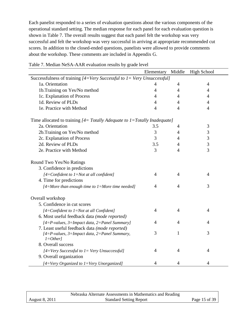Each panelist responded to a series of evaluation questions about the various components of the operational standard setting. The median response for each panel for each evaluation question is shown in Table 7. The overall results suggest that each panel felt the workshop was very successful and felt the workshop was very successful in arriving at appropriate recommended cut scores. In addition to the closed-ended questions, panelists were allowed to provide comments about the workshop. These comments are included in Appendix G.

|                                                                               | Elementary     | Middle         | <b>High School</b> |
|-------------------------------------------------------------------------------|----------------|----------------|--------------------|
| Successfulness of training $[4=V$ ery Successful to $I=V$ ery Unsuccessful]   |                |                |                    |
| 1a. Orientation                                                               | 4              | 4              | 4                  |
| 1b. Training on Yes/No method                                                 | $\overline{4}$ | $\overline{4}$ | $\overline{4}$     |
| 1c. Explanation of Process                                                    | $\overline{4}$ | $\overline{4}$ | $\overline{4}$     |
| 1d. Review of PLDs                                                            | $\overline{4}$ | $\overline{4}$ | $\overline{4}$     |
| 1e. Practice with Method                                                      | $\overline{4}$ | 4              | $\overline{4}$     |
| Time allocated to training $[4 = Totally Adequate to 1 = Totally Indeeduate]$ |                |                |                    |
| 2a. Orientation                                                               | 3.5            | 4              | $\mathfrak{Z}$     |
| 2b.Training on Yes/No method                                                  | $\mathfrak{Z}$ | 4              | 3                  |
| 2c. Explanation of Process                                                    | 3              | $\overline{4}$ | $\mathfrak{Z}$     |
| 2d. Review of PLDs                                                            | 3.5            | $\overline{4}$ | 3                  |
| 2e. Practice with Method                                                      | 3              | $\overline{4}$ | 3                  |
| Round Two Yes/No Ratings                                                      |                |                |                    |
| 3. Confidence in predictions                                                  |                |                |                    |
| $[4=$ Confident to $1=$ Not at all confident]                                 | $\overline{4}$ | 4              | $\overline{4}$     |
| 4. Time for predictions                                                       |                |                |                    |
| $[4=More than enough time to 1=More time needed]$                             | $\overline{4}$ | $\overline{4}$ | 3                  |
| Overall workshop                                                              |                |                |                    |
| 5. Confidence in cut scores                                                   |                |                |                    |
| $[4=$ Confident to $1=$ Not at all Confident]                                 | 4              | 4              | 4                  |
| 6. Most useful feedback data (mode reported)                                  |                |                |                    |
| $[4 = P$ -values, 3=Impact data, 2=Panel Summary]                             | $\overline{4}$ | $\overline{4}$ | $\overline{4}$     |
| 7. Least useful feedback data (mode reported)                                 |                |                |                    |
| $[4=$ P-values, 3=Impact data, 2=Panel Summary,<br>$1=Other$                  | 3              | $\mathbf{1}$   | 3                  |
| 8. Overall success                                                            |                |                |                    |
| $[4=Very$ Successful to $1=Very$ Unsuccessful]                                | $\overline{4}$ | 4              | 4                  |
| 9. Overall organization                                                       |                |                |                    |
| [4=Very Organized to 1=Very Unorganized]                                      | $\overline{4}$ | 4              | 4                  |

| Table 7. Median NeSA-AAR evaluation results by grade level |  |  |  |
|------------------------------------------------------------|--|--|--|
|------------------------------------------------------------|--|--|--|

|                | Nebraska Alternate Assessments in Mathematics and Reading |               |
|----------------|-----------------------------------------------------------|---------------|
| August 8, 2011 | <b>Standard Setting Report</b>                            | Page 15 of 39 |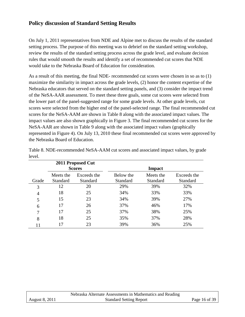## <span id="page-15-0"></span>**Policy discussion of Standard Setting Results**

On July 1, 2011 representatives from NDE and Alpine met to discuss the results of the standard setting process. The purpose of this meeting was to debrief on the standard setting workshop, review the results of the standard setting process across the grade level, and evaluate decision rules that would smooth the results and identify a set of recommended cut scores that NDE would take to the Nebraska Board of Education for consideration.

As a result of this meeting, the final NDE- recommended cut scores were chosen in so as to (1) maximize the similarity in impact across the grade levels, (2) honor the content expertise of the Nebraska educators that served on the standard setting panels, and (3) consider the impact trend of the NeSA-AAR assessment. To meet these three goals, some cut scores were selected from the lower part of the panel-suggested range for some grade levels. At other grade levels, cut scores were selected from the higher end of the panel-selected range. The final recommended cut scores for the NeSA-AAM are shown in Table 8 along with the associated impact values. The impact values are also shown graphically in Figure 3. The final recommended cut scores for the NeSA-AAR are shown in Table 9 along with the associated impact values (graphically represented in Figure 4). On July 13, 2010 these final recommended cut scores were approved by the Nebraska Board of Education.

| 2011 Proposed Cut<br><b>Scores</b> |                              |                                |                       | <b>Impact</b>         |                         |
|------------------------------------|------------------------------|--------------------------------|-----------------------|-----------------------|-------------------------|
| Grade                              | Meets the<br><b>Standard</b> | Exceeds the<br><b>Standard</b> | Below the<br>Standard | Meets the<br>Standard | Exceeds the<br>Standard |
| 3                                  | 12                           | 20                             | 29%                   | 39%                   | 32%                     |
| 4                                  | 18                           | 25                             | 34%                   | 33%                   | 33%                     |
| 5                                  | 15                           | 23                             | 34%                   | 39%                   | 27%                     |
| 6                                  | 17                           | 26                             | 37%                   | 46%                   | 17%                     |
| 7                                  | 17                           | 25                             | 37%                   | 38%                   | 25%                     |
| 8                                  | 18                           | 25                             | 35%                   | 37%                   | 28%                     |
|                                    | 17                           | 23                             | 39%                   | 36%                   | 25%                     |

Table 8. NDE-recommended NeSA-AAM cut scores and associated impact values, by grade level.

|                       | Nebraska Alternate Assessments in Mathematics and Reading |               |
|-----------------------|-----------------------------------------------------------|---------------|
| <b>August 8, 2011</b> | <b>Standard Setting Report</b>                            | Page 16 of 39 |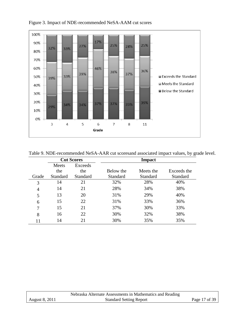

Figure 3. Impact of NDE-recommended NeSA-AAM cut scores

| Table 9. NDE-recommended NeSA-AAR cut scoresand associated impact values, by grade level. |  |  |  |
|-------------------------------------------------------------------------------------------|--|--|--|
|                                                                                           |  |  |  |

|                | <b>Cut Scores</b> |          | <b>Impact</b>   |           |                 |
|----------------|-------------------|----------|-----------------|-----------|-----------------|
|                | Meets             | Exceeds  |                 |           |                 |
|                | the               | the      | Below the       | Meets the | Exceeds the     |
| Grade          | Standard          | Standard | <b>Standard</b> | Standard  | <b>Standard</b> |
| 3              | 14                | 21       | 32%             | 28%       | 40%             |
| $\overline{4}$ | 14                | 21       | 28%             | 34%       | 38%             |
| 5              | 13                | 20       | 31%             | 29%       | 40%             |
| 6              | 15                | 22       | 31%             | 33%       | 36%             |
| 7              | 15                | 21       | 37%             | 30%       | 33%             |
| 8              | 16                | 22       | 30%             | 32%       | 38%             |
| 11             | 14                | 21       | 30%             | 35%       | 35%             |

|                       | Nebraska Alternate Assessments in Mathematics and Reading |               |
|-----------------------|-----------------------------------------------------------|---------------|
| <b>August 8, 2011</b> | <b>Standard Setting Report</b>                            | Page 17 of 39 |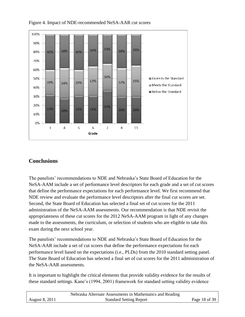

Figure 4. Impact of NDE-recommended NeSA-AAR cut scores

# <span id="page-17-0"></span>**Conclusions**

The panelists' recommendations to NDE and Nebraska's State Board of Education for the NeSA-AAM include a set of performance level descriptors for each grade and a set of cut scores that define the performance expectations for each performance level. We first recommend that NDE review and evaluate the performance level descriptors after the final cut scores are set. Second, the State Board of Education has selected a final set of cut scores for the 2011 administration of the NeSA-AAM assessments. Our recommendation is that NDE revisit the appropriateness of these cut scores for the 2012 NeSA-AAM program in light of any changes made to the assessments, the curriculum, or selection of students who are eligible to take this exam during the next school year.

The panelists' recommendations to NDE and Nebraska's State Board of Education for the NeSA-AAR include a set of cut scores that define the performance expectations for each performance level based on the expectations (i.e., PLDs) from the 2010 standard setting panel. The State Board of Education has selected a final set of cut scores for the 2011 administration of the NeSA-AAR assessments.

It is important to highlight the critical elements that provide validity evidence for the results of these standard settings. Kane's (1994, 2001) framework for standard setting validity evidence

|                | Nebraska Alternate Assessments in Mathematics and Reading |               |
|----------------|-----------------------------------------------------------|---------------|
| August 8, 2011 | <b>Standard Setting Report</b>                            | Page 18 of 39 |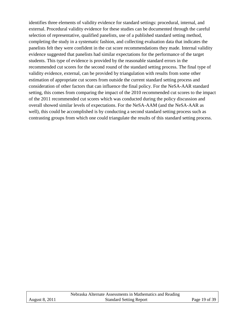identifies three elements of validity evidence for standard settings: procedural, internal, and external. Procedural validity evidence for these studies can be documented through the careful selection of representative, qualified panelists, use of a published standard setting method, completing the study in a systematic fashion, and collecting evaluation data that indicates the panelists felt they were confident in the cut score recommendations they made. Internal validity evidence suggested that panelists had similar expectations for the performance of the target students. This type of evidence is provided by the reasonable standard errors in the recommended cut scores for the second round of the standard setting process. The final type of validity evidence, external, can be provided by triangulation with results from some other estimation of appropriate cut scores from outside the current standard setting process and consideration of other factors that can influence the final policy. For the NeSA-AAR standard setting, this comes from comparing the impact of the 2010 recommended cut scores to the impact of the 2011 recommended cut scores which was conducted during the policy discussion and overall showed similar levels of expectations. For the NeSA-AAM (and the NeSA-AAR as well), this could be accomplished is by conducting a second standard setting process such as contrasting groups from which one could triangulate the results of this standard setting process.

|                       | Nebraska Alternate Assessments in Mathematics and Reading |               |
|-----------------------|-----------------------------------------------------------|---------------|
| <b>August 8, 2011</b> | <b>Standard Setting Report</b>                            | Page 19 of 39 |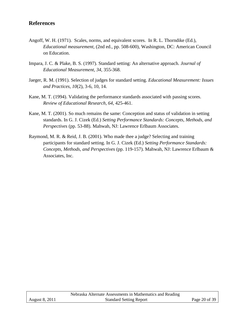## <span id="page-19-0"></span>**References**

- Angoff, W. H. (1971). Scales, norms, and equivalent scores. In R. L. Thorndike (Ed.), *Educational measurement,* (2nd ed., pp. 508-600), Washington, DC: American Council on Education.
- Impara, J. C. & Plake, B. S. (1997). Standard setting: An alternative approach. *Journal of Educational Measurement, 34*, 355-368.
- Jaeger, R. M. (1991). Selection of judges for standard setting. *Educational Measurement: Issues and Practices, 10*(2), 3-6, 10, 14.
- Kane, M. T. (1994). Validating the performance standards associated with passing scores. *Review of Educational Research, 64*, 425-461.
- Kane, M. T. (2001). So much remains the same: Conception and status of validation in setting standards. In G. J. Cizek (Ed.) *Setting Performance Standards: Concepts, Methods, and Perspectives* (pp. 53-88). Mahwah, NJ: Lawrence Erlbaum Associates.
- Raymond, M. R. & Reid, J. B. (2001). Who made thee a judge? Selecting and training participants for standard setting. In G. J. Cizek (Ed.) *Setting Performance Standards: Concepts, Methods, and Perspectives* (pp. 119-157). Mahwah, NJ: Lawrence Erlbaum & Associates, Inc.

|                       | Nebraska Alternate Assessments in Mathematics and Reading |               |
|-----------------------|-----------------------------------------------------------|---------------|
| <b>August 8, 2011</b> | <b>Standard Setting Report</b>                            | Page 20 of 39 |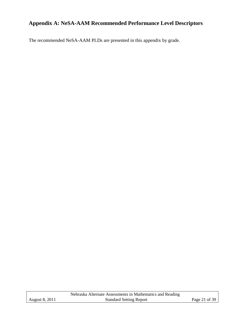# <span id="page-20-0"></span>**Appendix A: NeSA-AAM Recommended Performance Level Descriptors**

The recommended NeSA-AAM PLDs are presented in this appendix by grade.

|                | Nebraska Alternate Assessments in Mathematics and Reading |               |
|----------------|-----------------------------------------------------------|---------------|
| August 8, 2011 | <b>Standard Setting Report</b>                            | Page 21 of 39 |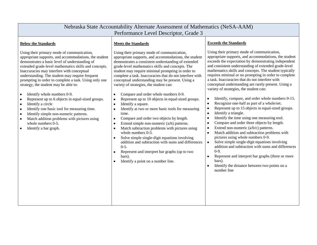| Nebraska State Accountability Alternate Assessment of Mathematics (NeSA-AAM)                                                                                                                                                                                                                                                                                                                                                                                                                                                                                                                                                                                                                                                                                                                               |                                                                                                                                                                                                                                                                                                                                                                                                                                                                                                                                                                                                                                                                                                                                                                                                                                                                                                                                                                                                                                                                                                              |                                                                                                                                                                                                                                                                                                                                                                                                                                                                                                                                                                                                                                                                                                                                                                                                                                                                                                                                                                                                                                                                                                                                                                                                                                                                                           |  |  |  |
|------------------------------------------------------------------------------------------------------------------------------------------------------------------------------------------------------------------------------------------------------------------------------------------------------------------------------------------------------------------------------------------------------------------------------------------------------------------------------------------------------------------------------------------------------------------------------------------------------------------------------------------------------------------------------------------------------------------------------------------------------------------------------------------------------------|--------------------------------------------------------------------------------------------------------------------------------------------------------------------------------------------------------------------------------------------------------------------------------------------------------------------------------------------------------------------------------------------------------------------------------------------------------------------------------------------------------------------------------------------------------------------------------------------------------------------------------------------------------------------------------------------------------------------------------------------------------------------------------------------------------------------------------------------------------------------------------------------------------------------------------------------------------------------------------------------------------------------------------------------------------------------------------------------------------------|-------------------------------------------------------------------------------------------------------------------------------------------------------------------------------------------------------------------------------------------------------------------------------------------------------------------------------------------------------------------------------------------------------------------------------------------------------------------------------------------------------------------------------------------------------------------------------------------------------------------------------------------------------------------------------------------------------------------------------------------------------------------------------------------------------------------------------------------------------------------------------------------------------------------------------------------------------------------------------------------------------------------------------------------------------------------------------------------------------------------------------------------------------------------------------------------------------------------------------------------------------------------------------------------|--|--|--|
| Performance Level Descriptor, Grade 3                                                                                                                                                                                                                                                                                                                                                                                                                                                                                                                                                                                                                                                                                                                                                                      |                                                                                                                                                                                                                                                                                                                                                                                                                                                                                                                                                                                                                                                                                                                                                                                                                                                                                                                                                                                                                                                                                                              |                                                                                                                                                                                                                                                                                                                                                                                                                                                                                                                                                                                                                                                                                                                                                                                                                                                                                                                                                                                                                                                                                                                                                                                                                                                                                           |  |  |  |
| <b>Below the Standards</b>                                                                                                                                                                                                                                                                                                                                                                                                                                                                                                                                                                                                                                                                                                                                                                                 | <b>Meets the Standards</b>                                                                                                                                                                                                                                                                                                                                                                                                                                                                                                                                                                                                                                                                                                                                                                                                                                                                                                                                                                                                                                                                                   | <b>Exceeds the Standards</b>                                                                                                                                                                                                                                                                                                                                                                                                                                                                                                                                                                                                                                                                                                                                                                                                                                                                                                                                                                                                                                                                                                                                                                                                                                                              |  |  |  |
| Using their primary mode of communication,<br>appropriate supports, and accommodations, the student<br>demonstrates a basic level of understanding of<br>extended grade-level mathematics skills and concepts.<br>Inaccuracies may interfere with conceptual<br>understanding. The student may require frequent<br>prompting in order to complete a task. Using only one<br>strategy, the student may be able to:<br>Identify whole numbers 0-9.<br>$\bullet$<br>Represent up to 6 objects in equal-sized groups.<br>$\bullet$<br>Identify a circle<br>$\bullet$<br>Identify one basic tool for measuring time.<br>$\bullet$<br>Identify simple non-numeric patterns.<br>$\bullet$<br>Match addition problems with pictures using<br>$\bullet$<br>whole numbers 0-5.<br>Identify a bar graph.<br>$\bullet$ | Using their primary mode of communication,<br>appropriate supports, and accommodations, the student<br>demonstrates a consistent understanding of extended<br>grade-level mathematics skills and concepts. The<br>student may require minimal prompting in order to<br>complete a task. Inaccuracies that do not interfere with<br>conceptual understanding may be present. Using a<br>variety of strategies, the student can:<br>Compare and order whole numbers 0-9.<br>$\bullet$<br>Represent up to 10 objects in equal-sized groups.<br>$\bullet$<br>Identify a square.<br>Identify at two or more basic tools for measuring<br>$\bullet$<br>time.<br>Compare and order two objects by length.<br>$\bullet$<br>Extend simple non-numeric $(a/b)$ patterns.<br>$\bullet$<br>Match subtraction problems with pictures using<br>$\bullet$<br>whole numbers 0-5.<br>Solve simple single-digit equations involving<br>addition and subtraction with sums and differences<br>$0-5.$<br>Represent and interpret bar graphs (up to two<br>$\bullet$<br>bars).<br>Identify a point on a number line.<br>$\bullet$ | Using their primary mode of communication,<br>appropriate supports, and accommodations, the student<br>exceeds the expectation by demonstrating independent<br>and consistent understanding of extended grade-level<br>mathematics skills and concepts. The student typically<br>requires minimal or no prompting in order to complete<br>a task. Inaccuracies that do not interfere with<br>conceptual understanding are rarely present. Using a<br>variety of strategies, the student can:<br>Identify, compare, and order whole numbers 0-15.<br>$\bullet$<br>Recognize one-half as part of a whole/set.<br>$\bullet$<br>Represent up to 15 objects in equal-sized groups.<br>$\bullet$<br>Identify a triangle.<br>$\bullet$<br>Identify the time using one measuring tool.<br>$\bullet$<br>Compare and order three objects by length.<br>$\bullet$<br>Extend non-numeric $(a/b/c)$ patterns.<br>$\bullet$<br>Match addition and subtraction problems with<br>$\bullet$<br>pictures using whole numbers 0-9.<br>Solve simple single-digit equations involving<br>$\bullet$<br>addition and subtraction with sums and differences<br>$0-9.$<br>Represent and interpret bar graphs (three or more<br>$\bullet$<br>bars).<br>Identify the distance between two points on a<br>number line |  |  |  |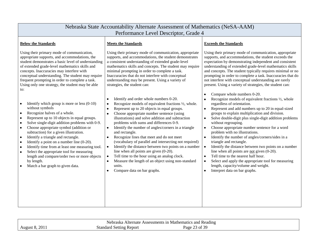| Nebraska State Accountability Alternate Assessment of Mathematics (NeSA-AAM)<br>Performance Level Descriptor, Grade 4                                                                                                                                                                                                                                                                                                                                                                                                                                                                                                                                                                                           |                                                                                                                                                                                                                                                                                                                                                                                                                                                                                                                                                                                                                                                                                                                                                                                                                           |                                                                                                                                                                                                                                                                                                                                                                                                                                                                                                                                                                                                                                                                                                                                                                                                       |  |  |
|-----------------------------------------------------------------------------------------------------------------------------------------------------------------------------------------------------------------------------------------------------------------------------------------------------------------------------------------------------------------------------------------------------------------------------------------------------------------------------------------------------------------------------------------------------------------------------------------------------------------------------------------------------------------------------------------------------------------|---------------------------------------------------------------------------------------------------------------------------------------------------------------------------------------------------------------------------------------------------------------------------------------------------------------------------------------------------------------------------------------------------------------------------------------------------------------------------------------------------------------------------------------------------------------------------------------------------------------------------------------------------------------------------------------------------------------------------------------------------------------------------------------------------------------------------|-------------------------------------------------------------------------------------------------------------------------------------------------------------------------------------------------------------------------------------------------------------------------------------------------------------------------------------------------------------------------------------------------------------------------------------------------------------------------------------------------------------------------------------------------------------------------------------------------------------------------------------------------------------------------------------------------------------------------------------------------------------------------------------------------------|--|--|
| <b>Below the Standards</b>                                                                                                                                                                                                                                                                                                                                                                                                                                                                                                                                                                                                                                                                                      | <b>Meets the Standards</b>                                                                                                                                                                                                                                                                                                                                                                                                                                                                                                                                                                                                                                                                                                                                                                                                | <b>Exceeds the Standards</b>                                                                                                                                                                                                                                                                                                                                                                                                                                                                                                                                                                                                                                                                                                                                                                          |  |  |
| Using their primary mode of communication,<br>appropriate supports, and accommodations, the<br>student demonstrates a basic level of understanding<br>of extended grade-level mathematics skills and<br>concepts. Inaccuracies may interfere with<br>conceptual understanding. The student may require<br>frequent prompting in order to complete a task.<br>Using only one strategy, the student may be able<br>$\alpha$ :                                                                                                                                                                                                                                                                                     | Using their primary mode of communication, appropriate<br>supports, and accommodations, the student demonstrates<br>a consistent understanding of extended grade-level<br>mathematics skills and concepts. The student may require<br>minimal prompting in order to complete a task.<br>Inaccuracies that do not interfere with conceptual<br>understanding may be present. Using a variety of<br>strategies, the student can:                                                                                                                                                                                                                                                                                                                                                                                            | Using their primary mode of communication, appropriate<br>supports, and accommodations, the student exceeds the<br>expectation by demonstrating independent and consistent<br>understanding of extended grade-level mathematics skills<br>and concepts. The student typically requires minimal or no<br>prompting in order to complete a task. Inaccuracies that do<br>not interfere with conceptual understanding are rarely<br>present. Using a variety of strategies, the student can:                                                                                                                                                                                                                                                                                                             |  |  |
| Identify which group is more or less $(0-10)$<br>$\bullet$<br>without symbols<br>Recognize halves of a whole.<br>$\bullet$<br>Represent up to 10 objects in equal groups.<br>$\bullet$<br>Solve single-digit addition problems with 0-9.<br>$\bullet$<br>Choose appropriate symbol (addition or<br>$\bullet$<br>subtraction) for a given illustration.<br>Identify a triangle and rectangle.<br>$\bullet$<br>Identify a point on a number line $(0-20)$ .<br>$\bullet$<br>Identify time from at least one measuring tool.<br>$\bullet$<br>Select the appropriate tool for measuring<br>$\bullet$<br>length and compare/order two or more objects<br>by length.<br>Match a bar graph to given data.<br>$\bullet$ | Identify and order whole numbers 0-20.<br>$\bullet$<br>Recognize models of equivalent fractions 1/2, whole.<br>Represent up to 20 objects in equal groups.<br>$\bullet$<br>Choose appropriate number sentence (using<br>illustrations) and solve addition and subtraction<br>problems with sums and differences 0-9.<br>Identify the number of angles/corners in a triangle<br>$\bullet$<br>and rectangle.<br>Recognize lines that meet and do not meet<br>$\bullet$<br>(vocabulary of parallel and intersecting not required)<br>Identify the distance between two points on a number<br>$\bullet$<br>line when all points are given $(0-20)$ .<br>Tell time to the hour using an analog clock.<br>Measure the length of an object using non-standard<br>$\bullet$<br>units.<br>Compare data on bar graphs.<br>$\bullet$ | Compare whole numbers 0-20.<br>Recognize models of equivalent fractions $\frac{1}{2}$ , whole<br>regardless of orientation.<br>Represent and add numbers up to 20 in equal-sized<br>groups to explain multiplication and division.<br>Solve double-digit plus single-digit addition problems<br>without regrouping.<br>Choose appropriate number sentence for a word<br>problem with no illustrations.<br>Identify the number of angles/corners/sides in a<br>triangle and rectangle.<br>Identify the distance between two points on a number<br>line when all points are <u>not</u> given $(0-20)$ .<br>Tell time to the nearest half hour.<br>$\bullet$<br>Select and apply the appropriate tool for measuring<br>length, capacity/volume and weight.<br>Interpret data on bar graphs.<br>$\bullet$ |  |  |

|        | Alternate<br>- 1 N<br>vebraska<br>ıdıng<br>ssments<br>Mathematic:<br>and<br>$\Lambda$ ccoc<br>Asse<br>$\mathcal{A}$ |                               |  |
|--------|---------------------------------------------------------------------------------------------------------------------|-------------------------------|--|
| August | Repor<br>Standard                                                                                                   | $\sim$<br>- -<br>Page<br>า ot |  |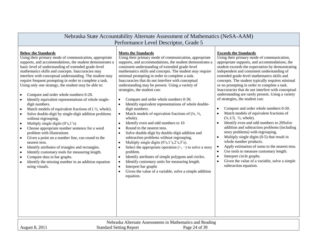| Nebraska State Accountability Alternate Assessment of Mathematics (NeSA-AAM)<br>Performance Level Descriptor, Grade 5                                                                                                                                                                                                                                                                                                                                                                                                                                                                                                                                                                                                                                                                                                                                                                                                                                                                                                                                                                                                                                                                                                                                                           |                                                                                                                                                                                                                                                                                                                                                                                                                                                                                                                                                                                                                                                                                                                                                                                                                                                                                                                                                                                                                                                                                                                                                                                                                                                                                                                              |                                                                                                                                                                                                                                                                                                                                                                                                                                                                                                                                                                                                                                                                                                                                                                                                                                                                                                                                                                                                                                                                                                                                                 |  |
|---------------------------------------------------------------------------------------------------------------------------------------------------------------------------------------------------------------------------------------------------------------------------------------------------------------------------------------------------------------------------------------------------------------------------------------------------------------------------------------------------------------------------------------------------------------------------------------------------------------------------------------------------------------------------------------------------------------------------------------------------------------------------------------------------------------------------------------------------------------------------------------------------------------------------------------------------------------------------------------------------------------------------------------------------------------------------------------------------------------------------------------------------------------------------------------------------------------------------------------------------------------------------------|------------------------------------------------------------------------------------------------------------------------------------------------------------------------------------------------------------------------------------------------------------------------------------------------------------------------------------------------------------------------------------------------------------------------------------------------------------------------------------------------------------------------------------------------------------------------------------------------------------------------------------------------------------------------------------------------------------------------------------------------------------------------------------------------------------------------------------------------------------------------------------------------------------------------------------------------------------------------------------------------------------------------------------------------------------------------------------------------------------------------------------------------------------------------------------------------------------------------------------------------------------------------------------------------------------------------------|-------------------------------------------------------------------------------------------------------------------------------------------------------------------------------------------------------------------------------------------------------------------------------------------------------------------------------------------------------------------------------------------------------------------------------------------------------------------------------------------------------------------------------------------------------------------------------------------------------------------------------------------------------------------------------------------------------------------------------------------------------------------------------------------------------------------------------------------------------------------------------------------------------------------------------------------------------------------------------------------------------------------------------------------------------------------------------------------------------------------------------------------------|--|
| <b>Below the Standards</b><br>Using their primary mode of communication, appropriate<br>supports, and accommodations, the student demonstrates a<br>basic level of understanding of extended grade-level<br>mathematics skills and concepts. Inaccuracies may<br>interfere with conceptual understanding. The student may<br>require frequent prompting in order to complete a task.<br>Using only one strategy, the student may be able to:<br>Compare and order whole numbers 0-20.<br>$\bullet$<br>Identify equivalent representations of whole single-<br>$\bullet$<br>digit numbers.<br>Match models of equivalent fractions of $(\frac{1}{2}, \text{whole})$ .<br>$\bullet$<br>Solve double-digit by single-digit addition problems<br>$\bullet$<br>without regrouping.<br>Multiply single digits (0's,1's).<br>$\bullet$<br>Choose appropriate number sentence for a word<br>$\bullet$<br>problem with illustrations<br>Given a point on a number line, can round to the<br>$\bullet$<br>nearest tens.<br>Identify attributes of triangles and rectangles.<br>$\bullet$<br>Identify customary tools for measuring length.<br>$\bullet$<br>Compare data in bar graphs.<br>$\bullet$<br>Identify the missing number in an addition equation<br>$\bullet$<br>using visuals. | <b>Meets the Standards</b><br>Using their primary mode of communication, appropriate<br>supports, and accommodations, the student demonstrates a<br>consistent understanding of extended grade-level<br>mathematics skills and concepts. The student may require<br>minimal prompting in order to complete a task.<br>Inaccuracies that do not interfere with conceptual<br>understanding may be present. Using a variety of<br>strategies, the student can:<br>Compare and order whole numbers 0-30.<br>$\bullet$<br>Identify equivalent representations of whole double-<br>$\bullet$<br>digit numbers.<br>Match models of equivalent fractions of $(1/4, 1/2, 1/4)$<br>$\bullet$<br>whole).<br>Identify even and odd numbers to 10<br>$\bullet$<br>Round to the nearest tens.<br>$\bullet$<br>Solve double-digit by double-digit addition and<br>$\bullet$<br>subtraction problems without regrouping.<br>Multiply single digits $(0's, 1's, 2's, 5's)$ .<br>$\bullet$<br>Select the appropriate operation $(+, -)$ to solve a story<br>$\bullet$<br>problem.<br>Identify attributes of simple polygons and circles.<br>$\bullet$<br>Identify customary units for measuring length.<br>$\bullet$<br>Interpret bar graphs<br>$\bullet$<br>Given the value of a variable, solve a simple addition<br>$\bullet$<br>equation. | <b>Exceeds the Standards</b><br>Using their primary mode of communication,<br>appropriate supports, and accommodations, the<br>student exceeds the expectation by demonstrating<br>independent and consistent understanding of<br>extended grade-level mathematics skills and<br>concepts. The student typically requires minimal<br>or no prompting in order to complete a task.<br>Inaccuracies that do not interfere with conceptual<br>understanding are rarely present. Using a variety<br>of strategies, the student can:<br>Compare and order whole numbers 0-50.<br>$\bullet$<br>Match models of equivalent fractions of<br>$(\frac{1}{4}, \frac{1}{3}, \frac{1}{2}, \text{whole}).$<br>Identify even and odd numbers to 20Solve<br>$\bullet$<br>addition and subtraction problems (including<br>story problems) with regrouping.<br>Multiply single digits $(0-5)$ that result in<br>whole number products.<br>Apply estimation of sums to the nearest tens.<br>Use tools to measure customary length.<br>$\bullet$<br>Interpret circle graphs.<br>$\bullet$<br>Given the value of a variable, solve a simple<br>subtraction equation. |  |

| Mathematics<br>.Iternate<br>Assessments 1n<br>-anc<br>. Reading<br>Nebra<br>ិ ស<br>- 11 1 |                              |                                   |  |
|-------------------------------------------------------------------------------------------|------------------------------|-----------------------------------|--|
| 201<br>August                                                                             | Standard<br>Repor<br>Setting | $\gamma$<br>Ряое<br>$\sim$<br>. . |  |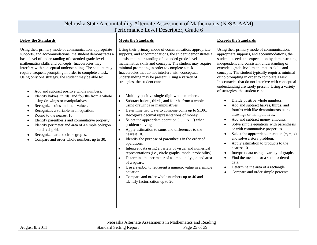| Nebraska State Accountability Alternate Assessment of Mathematics (NeSA-AAM)<br>Performance Level Descriptor, Grade 6                                                                                                                                                                                                                                                                                                                                                                                                                                                                                                                                                                                                                                                                                                                                                                                  |                                                                                                                                                                                                                                                                                                                                                                                                                                                                                                                                                                                                                                                                                                                                                                                                                                                                                                                                                                                                                                                                                                                                                                                                                                                                                                                                                        |                                                                                                                                                                                                                                                                                                                                                                                                                                                                                                                                                                                                                                                                                                                                                                                                                                                                                                                                                                                                                                                                                                                                                 |  |  |
|--------------------------------------------------------------------------------------------------------------------------------------------------------------------------------------------------------------------------------------------------------------------------------------------------------------------------------------------------------------------------------------------------------------------------------------------------------------------------------------------------------------------------------------------------------------------------------------------------------------------------------------------------------------------------------------------------------------------------------------------------------------------------------------------------------------------------------------------------------------------------------------------------------|--------------------------------------------------------------------------------------------------------------------------------------------------------------------------------------------------------------------------------------------------------------------------------------------------------------------------------------------------------------------------------------------------------------------------------------------------------------------------------------------------------------------------------------------------------------------------------------------------------------------------------------------------------------------------------------------------------------------------------------------------------------------------------------------------------------------------------------------------------------------------------------------------------------------------------------------------------------------------------------------------------------------------------------------------------------------------------------------------------------------------------------------------------------------------------------------------------------------------------------------------------------------------------------------------------------------------------------------------------|-------------------------------------------------------------------------------------------------------------------------------------------------------------------------------------------------------------------------------------------------------------------------------------------------------------------------------------------------------------------------------------------------------------------------------------------------------------------------------------------------------------------------------------------------------------------------------------------------------------------------------------------------------------------------------------------------------------------------------------------------------------------------------------------------------------------------------------------------------------------------------------------------------------------------------------------------------------------------------------------------------------------------------------------------------------------------------------------------------------------------------------------------|--|--|
| <b>Below the Standards</b>                                                                                                                                                                                                                                                                                                                                                                                                                                                                                                                                                                                                                                                                                                                                                                                                                                                                             | <b>Meets the Standards</b>                                                                                                                                                                                                                                                                                                                                                                                                                                                                                                                                                                                                                                                                                                                                                                                                                                                                                                                                                                                                                                                                                                                                                                                                                                                                                                                             | <b>Exceeds the Standards</b>                                                                                                                                                                                                                                                                                                                                                                                                                                                                                                                                                                                                                                                                                                                                                                                                                                                                                                                                                                                                                                                                                                                    |  |  |
| Using their primary mode of communication, appropriate<br>supports, and accommodations, the student demonstrates a<br>basic level of understanding of extended grade-level<br>mathematics skills and concepts. Inaccuracies may<br>interfere with conceptual understanding. The student may<br>require frequent prompting in order to complete a task.<br>Using only one strategy, the student may be able to:<br>Add and subtract positive whole numbers.<br>Identify halves, thirds, and fourths from a whole<br>using drawings or manipulatives.<br>Recognize coins and their values.<br>$\bullet$<br>Recognizes a variable in an equation.<br>Round to the nearest 10.<br>$\bullet$<br>Identify parenthesis and commutative property.<br>٠<br>Identify perimeter and area of a simple polygon<br>on a 4 x 4 grid.<br>Recognize bar and circle graphs.<br>Compare and order whole numbers up to 30. | Using their primary mode of communication, appropriate<br>supports, and accommodations, the student demonstrates a<br>consistent understanding of extended grade-level<br>mathematics skills and concepts. The student may require<br>minimal prompting in order to complete a task.<br>Inaccuracies that do not interfere with conceptual<br>understanding may be present. Using a variety of<br>strategies, the student can:<br>Multiply positive single-digit whole numbers.<br>Subtract halves, thirds, and fourths from a whole<br>$\bullet$<br>using drawings or manipulatives.<br>Determine two ways to combine coins up to \$1.00.<br>$\bullet$<br>Recognize decimal representations of money.<br>$\bullet$<br>Select the appropriate operation $(+, -, x, \ell)$ when<br>$\bullet$<br>problem solving.<br>Apply estimation to sums and differences to the<br>$\bullet$<br>nearest 10.<br>Identify the purpose of parenthesis in the order of<br>$\bullet$<br>operations.<br>Interpret data using a variety of visual and numerical<br>$\bullet$<br>representations (i.e., circle graphs, mode, probability)<br>Determine the perimeter of a simple polygon and area<br>of a square.<br>Use a symbol to represent a numeric value in a simple<br>equation.<br>Compare and order whole numbers up to 40 and<br>identify factorization up to 20. | Using their primary mode of communication,<br>appropriate supports, and accommodations, the<br>student exceeds the expectation by demonstrating<br>independent and consistent understanding of<br>extended grade-level mathematics skills and<br>concepts. The student typically requires minimal<br>or no prompting in order to complete a task.<br>Inaccuracies that do not interfere with conceptual<br>understanding are rarely present. Using a variety<br>of strategies, the student can:<br>Divide positive whole numbers.<br>Add and subtract halves, thirds, and<br>fourths with like denominators using<br>drawings or manipulatives.<br>Add and subtract money amounts.<br>Solve simple equations with parenthesis<br>$\bullet$<br>or with commutative properties.<br>Select the appropriate operation $(+, -, x)$<br>and solve a story problem.<br>Apply estimation to products to the<br>$\bullet$<br>nearest 10.<br>Interpret data using a variety of graphs.<br>$\bullet$<br>Find the median for a set of ordered<br>$\bullet$<br>data.<br>Determine the area of a rectangle.<br>$\bullet$<br>Compare and order simple percents. |  |  |

| Nebraska Alternate Assessments in Mathematics and Reading |                                |               |  |
|-----------------------------------------------------------|--------------------------------|---------------|--|
| <b>August 8, 2011</b>                                     | <b>Standard Setting Report</b> | Page 25 of 39 |  |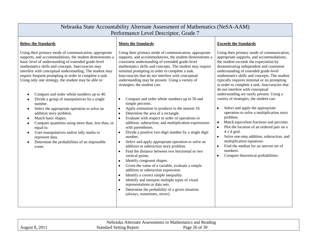|                                                                                                                                                                                                                                                                                                                                                                                                                                                                                                                                                                                                                                                                                                                                                                                                                                                                        | Nebraska State Accountability Alternate Assessment of Mathematics (NeSA-AAM)<br>Performance Level Descriptor, Grade 7                                                                                                                                                                                                                                                                                                                                                                                                                                                                                                                                                                                                                                                                                                                                                                                                                                                                                                                                                                                                                                                                                                                                                                                                                                                                                                                                                     |                                                                                                                                                                                                                                                                                                                                                                                                                                                                                                                                                                                                                                                                                                                                                                                                                                                                                                                                                          |  |  |  |
|------------------------------------------------------------------------------------------------------------------------------------------------------------------------------------------------------------------------------------------------------------------------------------------------------------------------------------------------------------------------------------------------------------------------------------------------------------------------------------------------------------------------------------------------------------------------------------------------------------------------------------------------------------------------------------------------------------------------------------------------------------------------------------------------------------------------------------------------------------------------|---------------------------------------------------------------------------------------------------------------------------------------------------------------------------------------------------------------------------------------------------------------------------------------------------------------------------------------------------------------------------------------------------------------------------------------------------------------------------------------------------------------------------------------------------------------------------------------------------------------------------------------------------------------------------------------------------------------------------------------------------------------------------------------------------------------------------------------------------------------------------------------------------------------------------------------------------------------------------------------------------------------------------------------------------------------------------------------------------------------------------------------------------------------------------------------------------------------------------------------------------------------------------------------------------------------------------------------------------------------------------------------------------------------------------------------------------------------------------|----------------------------------------------------------------------------------------------------------------------------------------------------------------------------------------------------------------------------------------------------------------------------------------------------------------------------------------------------------------------------------------------------------------------------------------------------------------------------------------------------------------------------------------------------------------------------------------------------------------------------------------------------------------------------------------------------------------------------------------------------------------------------------------------------------------------------------------------------------------------------------------------------------------------------------------------------------|--|--|--|
| <b>Below the Standards</b><br><b>Exceeds the Standards</b><br><b>Meets the Standards</b>                                                                                                                                                                                                                                                                                                                                                                                                                                                                                                                                                                                                                                                                                                                                                                               |                                                                                                                                                                                                                                                                                                                                                                                                                                                                                                                                                                                                                                                                                                                                                                                                                                                                                                                                                                                                                                                                                                                                                                                                                                                                                                                                                                                                                                                                           |                                                                                                                                                                                                                                                                                                                                                                                                                                                                                                                                                                                                                                                                                                                                                                                                                                                                                                                                                          |  |  |  |
| Using their primary mode of communication, appropriate<br>supports, and accommodations, the student demonstrates a<br>basic level of understanding of extended grade-level<br>mathematics skills and concepts. Inaccuracies may<br>interfere with conceptual understanding. The student may<br>require frequent prompting in order to complete a task.<br>Using only one strategy, the student may be able to:<br>Compare and order whole numbers up to 40.<br>Divide a group of manipulatives by a single<br>number.<br>Select the appropriate operation to solve an<br>$\bullet$<br>addition story problem.<br>Match basic shapes.<br>$\bullet$<br>Compare quantities using more than, less than, or<br>$\bullet$<br>equal to.<br>Uses manipulatives and/or tally marks to<br>$\bullet$<br>represent data.<br>Determine the probabilities of an impossible<br>event. | Using their primary mode of communication, appropriate<br>supports, and accommodations, the student demonstrates a<br>consistent understanding of extended grade-level<br>mathematics skills and concepts. The student may require<br>minimal prompting in order to complete a task.<br>Inaccuracies that do not interfere with conceptual<br>understanding may be present. Using a variety of<br>strategies, the student can:<br>Compare and order whole numbers up to 50 and<br>$\bullet$<br>simple percents.<br>Apply estimation to products to the nearest 10.<br>$\bullet$<br>Determine the area of a rectangle.<br>$\bullet$<br>Evaluate with respect to order of operations in<br>$\bullet$<br>addition, subtraction, and multiplication expressions<br>with parentheses.<br>Divide a positive two-digit number by a single digit<br>$\bullet$<br>number.<br>Select and apply appropriate operation to solve an<br>$\bullet$<br>addition or subtraction story problem.<br>Find the distance between two horizontal or two<br>$\bullet$<br>vertical points.<br>Identify congruent shapes.<br>$\bullet$<br>Given the value of a variable, evaluate a simple<br>$\bullet$<br>addition or subtraction expression.<br>Identify a correct simple inequality.<br>$\bullet$<br>Identify and interpret multiple types of visual<br>$\bullet$<br>representations or data sets.<br>Determine the probability of a given situation<br>$\bullet$<br>(always, sometimes, never). | Using their primary mode of communication,<br>appropriate supports, and accommodations,<br>the student exceeds the expectation by<br>demonstrating independent and consistent<br>understanding of extended grade-level<br>mathematics skills and concepts. The student<br>typically requires minimal or no prompting<br>in order to complete a task. Inaccuracies that<br>do not interfere with conceptual<br>understanding are rarely present. Using a<br>variety of strategies, the student can:<br>Select and apply the appropriate<br>$\bullet$<br>operation to solve a multiplication story<br>problem.<br>Match equivalent fractions and percents.<br>$\bullet$<br>Plot the location of an ordered pair on a<br>$\bullet$<br>$4 \times 4$ grid.<br>Solve one-step addition, subtraction, and<br>$\bullet$<br>multiplication equations.<br>Find the median for an uneven set of<br>$\bullet$<br>numbers.<br>Compare theoretical probabilities.<br>٠ |  |  |  |

| -<br>Alternate Assessments <sup>,</sup><br>and<br>. Reading<br>. Mathematics<br>. 1N<br>Nebraska |                                   |                            |  |
|--------------------------------------------------------------------------------------------------|-----------------------------------|----------------------------|--|
| 201<br>August                                                                                    | : Report<br>Setting<br>standard : | $\sim$<br>Page<br>, n<br>≺ |  |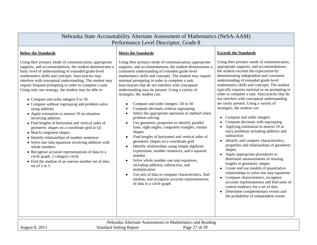| Nebraska State Accountability Alternate Assessment of Mathematics (NeSA-AAM)<br>Performance Level Descriptor, Grade 8                                                                                                                                                                                                                                                                                                                                                                                                                                                                                                                                                                                                                                                                                                                                                                                                                                                                                                                                         |                                                                                                                                                                                                                                                                                                                                                                                                                                                                                                                                                                                                                                                                                                                                                                                                                                                                                                                                                                                                                                                                                                                                                                                                |                                                                                                                                                                                                                                                                                                                                                                                                                                                                                                                                                                                                                                                                                                                                                                                                                                                                                                                                                                                                                                                                                                                                                                                                                                                                               |  |  |
|---------------------------------------------------------------------------------------------------------------------------------------------------------------------------------------------------------------------------------------------------------------------------------------------------------------------------------------------------------------------------------------------------------------------------------------------------------------------------------------------------------------------------------------------------------------------------------------------------------------------------------------------------------------------------------------------------------------------------------------------------------------------------------------------------------------------------------------------------------------------------------------------------------------------------------------------------------------------------------------------------------------------------------------------------------------|------------------------------------------------------------------------------------------------------------------------------------------------------------------------------------------------------------------------------------------------------------------------------------------------------------------------------------------------------------------------------------------------------------------------------------------------------------------------------------------------------------------------------------------------------------------------------------------------------------------------------------------------------------------------------------------------------------------------------------------------------------------------------------------------------------------------------------------------------------------------------------------------------------------------------------------------------------------------------------------------------------------------------------------------------------------------------------------------------------------------------------------------------------------------------------------------|-------------------------------------------------------------------------------------------------------------------------------------------------------------------------------------------------------------------------------------------------------------------------------------------------------------------------------------------------------------------------------------------------------------------------------------------------------------------------------------------------------------------------------------------------------------------------------------------------------------------------------------------------------------------------------------------------------------------------------------------------------------------------------------------------------------------------------------------------------------------------------------------------------------------------------------------------------------------------------------------------------------------------------------------------------------------------------------------------------------------------------------------------------------------------------------------------------------------------------------------------------------------------------|--|--|
| <b>Below the Standards</b><br>Using their primary mode of communication, appropriate<br>supports, and accommodations, the student demonstrates a<br>basic level of understanding of extended grade-level<br>mathematics skills and concepts. Inaccuracies may<br>interfere with conceptual understanding. The student may<br>require frequent prompting in order to complete a task.<br>Using only one strategy, the student may be able to:<br>$\bullet$ Compare and order integers 0 to 50<br>• Compute without regrouping and problem solve<br>using addition<br>• Apply estimation to nearest 10 on situation<br>involving addition<br>• Find lengths of horizontal and vertical sides of<br>geometric shapes on a coordinate grid in Q1<br>• Match congruent shapes<br>• Identify relationships of number sentences<br>• Solve one-step equations involving addition with<br>whole numbers<br>• Recognize accurate representations of data in a<br>circle graph, 2 category circle<br>• Find the median of an uneven number set of data<br>set of 3 or 5 | <b>Meets the Standards</b><br>Using their primary mode of communication, appropriate<br>supports, and accommodations, the student demonstrates a<br>consistent understanding of extended grade-level<br>mathematics skills and concepts. The student may require<br>minimal prompting in order to complete a task.<br>Inaccuracies that do not interfere with conceptual<br>understanding may be present. Using a variety of<br>strategies, the student can:<br>Compare and order integers -50 to 50<br>Compute decimals without regrouping<br>Select the appropriate operation or method when<br>problem solving<br>Use geometric properties to identify parallel<br>lines, right angles, congruent triangles, similar<br>shapes<br>Find lengths of horizontal and vertical sides of<br>geometric shapes on a coordinate grid<br>Identify relationships using simple algebraic<br>$\bullet$<br>expressions, number sentences, and a squared<br>number<br>Solve whole number one step equations,<br>including addition, subtraction, and<br>multiplication<br>Use sets of data to compare characteristics, find<br>median, and recognize accurate representations<br>of data in a circle graph | <b>Exceeds the Standards</b><br>Using their primary mode of communication,<br>appropriate supports, and accommodations,<br>the student exceeds the expectation by<br>demonstrating independent and consistent<br>understanding of extended grade-level<br>mathematics skills and concepts. The student<br>typically requires minimal or no prompting in<br>order to complete a task. Inaccuracies that do<br>not interfere with conceptual understanding<br>are rarely present. Using a variety of<br>strategies, the student can:<br>Compare and order integers<br>$\bullet$<br>Compute decimals with regrouping<br>Applying estimation to nearest 10 in<br>$\bullet$<br>story problems including addition and<br>subtraction<br>Identify and compare characteristics,<br>$\bullet$<br>properties and relationships of geometric<br>shapes<br>Apply appropriate procedures to<br>$\bullet$<br>determine measurements of missing<br>lengths in geometric shapes<br>• Create and use models of quantitative<br>relationships to solve one step equations<br>Compare characteristics, recognize<br>$\bullet$<br>accurate representations and find units of<br>central tendency for a set of data<br>Determine complementary events and<br>the probability of independent events |  |  |

| a Alternate Assessments in Mathematics and Reading.<br>Nebraska |                                |                                  |  |
|-----------------------------------------------------------------|--------------------------------|----------------------------------|--|
| 201.<br>August 8,                                               | <b>Standard Setting Report</b> | $27$ of $\overline{5}$ .<br>Page |  |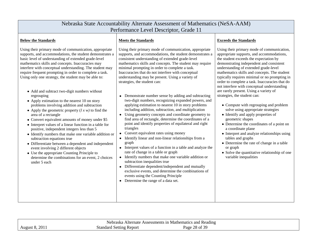| Nebraska State Accountability Alternate Assessment of Mathematics (NeSA-AAM)<br>Performance Level Descriptor, Grade 11                                                                                                                                                                                                                                                                                                                                                                                                                                                                                                                                                                                                                                                                                                                                                                                                                                                                                                                                                                                                           |                                                                                                                                                                                                                                                                                                                                                                                                                                                                                                                                                                                                                                                                                                                                                                                                                                                                                                                                                                                                                                                                                                                                                                                                                                                                                                                                                              |                                                                                                                                                                                                                                                                                                                                                                                                                                                                                                                                                                                                                                                                                                                                                                                                                                                                                                                      |  |
|----------------------------------------------------------------------------------------------------------------------------------------------------------------------------------------------------------------------------------------------------------------------------------------------------------------------------------------------------------------------------------------------------------------------------------------------------------------------------------------------------------------------------------------------------------------------------------------------------------------------------------------------------------------------------------------------------------------------------------------------------------------------------------------------------------------------------------------------------------------------------------------------------------------------------------------------------------------------------------------------------------------------------------------------------------------------------------------------------------------------------------|--------------------------------------------------------------------------------------------------------------------------------------------------------------------------------------------------------------------------------------------------------------------------------------------------------------------------------------------------------------------------------------------------------------------------------------------------------------------------------------------------------------------------------------------------------------------------------------------------------------------------------------------------------------------------------------------------------------------------------------------------------------------------------------------------------------------------------------------------------------------------------------------------------------------------------------------------------------------------------------------------------------------------------------------------------------------------------------------------------------------------------------------------------------------------------------------------------------------------------------------------------------------------------------------------------------------------------------------------------------|----------------------------------------------------------------------------------------------------------------------------------------------------------------------------------------------------------------------------------------------------------------------------------------------------------------------------------------------------------------------------------------------------------------------------------------------------------------------------------------------------------------------------------------------------------------------------------------------------------------------------------------------------------------------------------------------------------------------------------------------------------------------------------------------------------------------------------------------------------------------------------------------------------------------|--|
| <b>Below the Standards</b>                                                                                                                                                                                                                                                                                                                                                                                                                                                                                                                                                                                                                                                                                                                                                                                                                                                                                                                                                                                                                                                                                                       | <b>Meets the Standards</b>                                                                                                                                                                                                                                                                                                                                                                                                                                                                                                                                                                                                                                                                                                                                                                                                                                                                                                                                                                                                                                                                                                                                                                                                                                                                                                                                   | <b>Exceeds the Standards</b>                                                                                                                                                                                                                                                                                                                                                                                                                                                                                                                                                                                                                                                                                                                                                                                                                                                                                         |  |
| Using their primary mode of communication, appropriate<br>supports, and accommodations, the student demonstrates a<br>basic level of understanding of extended grade-level<br>mathematics skills and concepts. Inaccuracies may<br>interfere with conceptual understanding. The student may<br>require frequent prompting in order to complete a task.<br>Using only one strategy, the student may be able to:<br>• Add and subtract two-digit numbers without<br>regrouping<br>• Apply estimation to the nearest 10 on story<br>problems involving addition and subtraction<br>• Apply the geometric property $(l x w)$ to find the<br>area of a rectangle<br>• Convert equivalent amounts of money under \$5<br>• Interpret values of a linear function in a table for<br>positive, independent integers less than 5<br>• Identify numbers that make one variable addition or<br>subtraction equations true<br>• Differentiate between a dependent and independent<br>event involving 2 different objects<br>• Use the appropriate Counting Principle to<br>determine the combinations for an event, 2 choices<br>under 5 each | Using their primary mode of communication, appropriate<br>supports, and accommodations, the student demonstrates a<br>consistent understanding of extended grade-level<br>mathematics skills and concepts. The student may require<br>minimal prompting in order to complete a task.<br>Inaccuracies that do not interfere with conceptual<br>understanding may be present. Using a variety of<br>strategies, the student can:<br>Demonstrate number sense by adding and subtracting<br>$\bullet$<br>two-digit numbers, recognizing expanded powers, and<br>applying estimation to nearest 10 in story problems<br>including addition, subtraction, and multiplication<br>Using geometry concepts and coordinate geometry to<br>find area of rectangle, determine the coordinates of a<br>point and identify properties of equilateral and right<br>triangles<br>Convert equivalent rates using money<br>Identify linear and non-linear relationships from a<br>graph<br>Interpret values of a function in a table and analyze the<br>rate of change in a table or graph<br>Identify numbers that make one variable addition or<br>subtraction inequalities true<br>• Differentiate dependent/independent and mutually<br>exclusive events, and determine the combinations of<br>events using the Counting Principle<br>• Determine the range of a data set. | Using their primary mode of communication,<br>appropriate supports, and accommodations,<br>the student exceeds the expectation by<br>demonstrating independent and consistent<br>understanding of extended grade-level<br>mathematics skills and concepts. The student<br>typically requires minimal or no prompting in<br>order to complete a task. Inaccuracies that do<br>not interfere with conceptual understanding<br>are rarely present. Using a variety of<br>strategies, the student can:<br>• Compute with regrouping and problem<br>solve using appropriate strategies<br>• Identify and apply properties of<br>geometric shapes<br>• Determine the coordinates of a point on<br>a coordinate plane<br>• Interpret and analyze relationships using<br>tables and graphs<br>• Determine the rate of change in a table<br>or graph<br>• Solve the quantitative relationship of one<br>variable inequalities |  |

| Nebraska Alternate Assessments in Mathematics and Reading |                                |               |  |
|-----------------------------------------------------------|--------------------------------|---------------|--|
| 201<br>August 8.                                          | <b>Standard Setting Report</b> | Page 28 of 39 |  |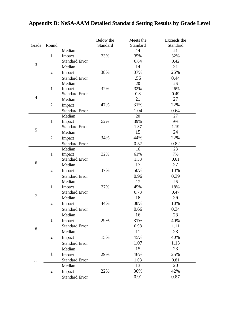| Grade          | Round          |                                 | Below the | Meets the<br>Standard | Exceeds the<br>Standard |
|----------------|----------------|---------------------------------|-----------|-----------------------|-------------------------|
|                |                | Median                          | Standard  | 14                    | 21                      |
|                | $\mathbf{1}$   | Impact                          | 33%       | 35%                   | 32%                     |
|                |                | <b>Standard Error</b>           |           | 0.64                  | 0.42                    |
| 3              |                | Median                          |           | 14                    | 21                      |
|                | $\overline{2}$ |                                 | 38%       | 37%                   | 25%                     |
|                |                | Impact                          |           |                       |                         |
|                |                | <b>Standard Error</b><br>Median |           | .56<br>20             | 0.44<br>26              |
|                | $\mathbf{1}$   | Impact                          | 42%       | 32%                   | 26%                     |
|                |                | <b>Standard Error</b>           |           | 0.8                   | 0.49                    |
| $\overline{4}$ |                | Median                          |           | 21                    | 27                      |
|                | $\overline{2}$ | Impact                          | 47%       | 31%                   | 22%                     |
|                |                | <b>Standard Error</b>           |           | 1.04                  | 0.64                    |
|                |                | Median                          |           | 20                    | 27                      |
|                | $\mathbf{1}$   | Impact                          | 52%       | 39%                   | 9%                      |
|                |                | <b>Standard Error</b>           |           | 1.37                  | 1.19                    |
| 5              |                | Median                          |           | 15                    | 24                      |
|                | $\mathfrak{2}$ | Impact                          | 34%       | 44%                   | 22%                     |
|                |                | <b>Standard Error</b>           |           | 0.57                  | 0.82                    |
|                |                | Median                          |           | 16                    | 28                      |
|                | $\mathbf{1}$   | Impact                          | 32%       | 61%                   | 7%                      |
|                |                | <b>Standard Error</b>           |           | 1.33                  | 0.61                    |
| 6              |                | Median                          |           | 17                    | 27                      |
|                | $\overline{2}$ | Impact                          | 37%       | 50%                   | 13%                     |
|                |                | <b>Standard Error</b>           |           | 0.96                  | 0.39                    |
|                |                | Median                          |           | 17                    | 26                      |
|                | $\mathbf{1}$   | Impact                          | 37%       | 45%                   | 18%                     |
|                |                | <b>Standard Error</b>           |           | 0.73                  | 0.47                    |
| $\overline{7}$ |                | Median                          |           | 18                    | 26                      |
|                | $\mathfrak{2}$ | Impact                          | 44%       | 38%                   | 18%                     |
|                |                | <b>Standard Error</b>           |           | 0.66                  | 0.34                    |
|                |                | Median                          |           | 16                    | 23                      |
|                | $\mathbf{1}$   | Impact                          | 29%       | 31%                   | 40%                     |
|                |                | <b>Standard Error</b>           |           | 0.98                  | 1.11                    |
| 8              |                | Median                          |           | 11                    | 23                      |
|                | $\overline{2}$ | Impact                          | 15%       | 45%                   | 40%                     |
|                |                | <b>Standard Error</b>           |           | 1.07                  | 1.13                    |
|                |                | Median                          |           | 15                    | 23                      |
|                | $\mathbf{1}$   | Impact                          | 29%       | 46%                   | 25%                     |
|                |                | <b>Standard Error</b>           |           | 1.03                  | 0.81                    |
| 11             |                | Median                          |           | 13                    | 20                      |
|                | $\overline{2}$ | Impact                          | 22%       | 36%                   | 42%                     |
|                |                | <b>Standard Error</b>           |           | 0.91                  | 0.87                    |

# <span id="page-28-0"></span>**Appendix B: NeSA-AAM Detailed Standard Setting Results by Grade Level**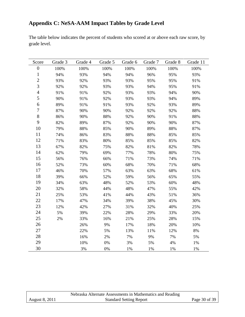# <span id="page-29-0"></span>**Appendix C: NeSA-AAM Impact Tables by Grade Level**

The table below indicates the percent of students who scored at or above each raw score, by grade level.

| Score            | Grade 3 | Grade 4 | Grade 5 | Grade 6 | Grade 7 | Grade 8 | Grade 11 |
|------------------|---------|---------|---------|---------|---------|---------|----------|
| $\boldsymbol{0}$ | 100%    | 100%    | 100%    | 100%    | 100%    | 100%    | 100%     |
| $\mathbf{1}$     | 94%     | 93%     | 94%     | 94%     | 96%     | 95%     | 93%      |
| $\overline{c}$   | 93%     | 92%     | 93%     | 93%     | 95%     | 95%     | 91%      |
| $\overline{3}$   | 92%     | 92%     | 93%     | 93%     | 94%     | 95%     | 91%      |
| $\overline{4}$   | 91%     | 91%     | 92%     | 93%     | 93%     | 94%     | 90%      |
| 5                | 90%     | 91%     | 92%     | 93%     | 93%     | 94%     | 89%      |
| 6                | 89%     | 91%     | 91%     | 93%     | 92%     | 93%     | 89%      |
| $\tau$           | 87%     | 90%     | 90%     | 92%     | 92%     | 92%     | 88%      |
| $8\,$            | 86%     | 90%     | 88%     | 92%     | 90%     | 91%     | 88%      |
| 9                | 82%     | 89%     | 87%     | 92%     | 90%     | 90%     | 87%      |
| 10               | 79%     | 88%     | 85%     | 90%     | 89%     | 88%     | 87%      |
| 11               | 74%     | 86%     | 83%     | 88%     | 88%     | 85%     | 85%      |
| 12               | 71%     | 83%     | 80%     | 85%     | 85%     | 85%     | 82%      |
| 13               | 67%     | 82%     | 75%     | 82%     | 81%     | 82%     | 78%      |
| 14               | 62%     | 79%     | 69%     | 77%     | 78%     | 80%     | 75%      |
| 15               | 56%     | 76%     | 66%     | 71%     | 73%     | 74%     | 71%      |
| 16               | 52%     | 73%     | 60%     | 68%     | 70%     | 71%     | 68%      |
| 17               | 46%     | 70%     | 57%     | 63%     | 63%     | 68%     | 61%      |
| 18               | 39%     | 66%     | 52%     | 59%     | 56%     | 65%     | 55%      |
| 19               | 34%     | 63%     | 48%     | 52%     | 53%     | 60%     | 48%      |
| 20               | 32%     | 58%     | 44%     | 48%     | 47%     | 55%     | 42%      |
| 21               | 25%     | 53%     | 41%     | 44%     | 43%     | 51%     | 36%      |
| 22               | 17%     | 47%     | 34%     | 39%     | 38%     | 45%     | 30%      |
| 23               | 12%     | 42%     | 27%     | 31%     | 32%     | 40%     | 25%      |
| 24               | 5%      | 39%     | 22%     | 28%     | 29%     | 33%     | 20%      |
| 25               | 2%      | 33%     | 16%     | 21%     | 25%     | 28%     | 15%      |
| 26               |         | 26%     | 9%      | 17%     | 18%     | 20%     | 10%      |
| 27               |         | 22%     | 5%      | 13%     | 11%     | 12%     | $8\%$    |
| 28               |         | 16%     | 2%      | 7%      | 9%      | 7%      | 5%       |
| 29               |         | 10%     | 0%      | 3%      | 5%      | 4%      | 1%       |
| 30               |         | 3%      | 0%      | 1%      | 1%      | 1%      | 1%       |

|                | Nebraska Alternate Assessments in Mathematics and Reading |               |
|----------------|-----------------------------------------------------------|---------------|
| August 8, 2011 | <b>Standard Setting Report</b>                            | Page 30 of 39 |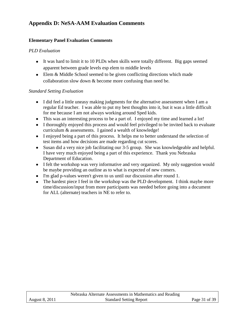# <span id="page-30-0"></span>**Appendix D: NeSA-AAM Evaluation Comments**

### **Elementary Panel Evaluation Comments**

## *PLD Evaluation*

- It was hard to limit it to 10 PLDs when skills were totally different. Big gaps seemed apparent between grade levels esp elem to middle levels
- Elem & Middle School seemed to be given conflicting directions which made collaboration slow down & become more confusing than need be.

### *Standard Setting Evaluation*

- I did feel a little uneasy making judgments for the alternative assessment when I am a regular Ed teacher. I was able to put my best thoughts into it, but it was a little difficult for me because I am not always working around Sped kids.
- This was an interesting process to be a part of. I enjoyed my time and learned a lot!
- I thoroughly enjoyed this process and would feel privileged to be invited back to evaluate curriculum & assessments. I gained a wealth of knowledge!
- I enjoyed being a part of this process. It helps me to better understand the selection of test items and how decisions are made regarding cut scores.
- Susan did a very nice job facilitating our 3-5 group. She was knowledgeable and helpful. I have very much enjoyed being a part of this experience. Thank you Nebraska Department of Education.
- I felt the workshop was very informative and very organized. My only suggestion would be maybe providing an outline as to what is expected of new comers.
- I'm glad p-values weren't given to us until our discussion after round 1.
- The hardest piece I feel in the workshop was the PLD development. I think maybe more time/discussion/input from more participants was needed before going into a document for ALL (alternate) teachers in NE to refer to.

|                       | Nebraska Alternate Assessments in Mathematics and Reading |               |
|-----------------------|-----------------------------------------------------------|---------------|
| <b>August 8, 2011</b> | <b>Standard Setting Report</b>                            | Page 31 of 39 |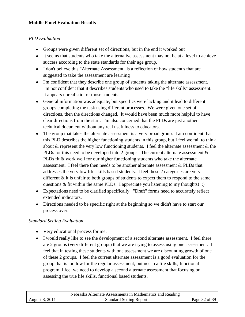### **Middle Panel Evaluation Results**

## *PLD Evaluation*

- Groups were given different set of directions, but in the end it worked out
- It seems that students who take the alternative assessment may not be at a level to achieve success according to the state standards for their age group.
- I don't believe this "Alternate Assessment" is a reflection of how student's that are suggested to take the assessment are learning
- I'm confident that they describe one group of students taking the alternate assessment. I'm not confident that it describes students who used to take the "life skills" assessment. It appears unrealistic for those students.
- General information was adequate, but specifics were lacking and it lead to different groups completing the task using different processes. We were given one set of directions, then the directions changed. It would have been much more helpful to have clear directions from the start. I'm also concerned that the PLDs are just another technical document without any real usefulness to educators.
- The group that takes the alternate assessment is a very broad group. I am confident that this PLD describes the higher functioning students in this group, but I feel we fail to think about  $\&$  represent the very low functioning students. I feel the alternate assessment  $\&$  the PLDs for this need to be developed into 2 groups. The current alternate assessment  $\&$ PLDs fit & work well for our higher functioning students who take the alternate assessment. I feel there then needs to be another alternate assessment & PLDs that addresses the very low life skills based students. I feel these 2 categories are very different & it is unfair to both groups of students to expect them to respond to the same questions & fit within the same PLDs. I appreciate you listening to my thoughts! :)
- Expectations need to be clarified specifically. "Draft" forms need to accurately reflect extended indicators.
- Directions needed to be specific right at the beginning so we didn't have to start our process over.

### *Standard Setting Evaluation*

- Very educational process for me.
- I would really like to see the development of a second alternate assessment. I feel there are 2 groups (very different groups) that we are trying to assess using one assessment. I feel that in testing these students with one assessment we are discounting growth of one of these 2 groups. I feel the current alternate assessment is a good evaluation for the group that is too low for the regular assessment, but not in a life skills, functional program. I feel we need to develop a second alternate assessment that focusing on assessing the true life skills, functional based students.

|                | Nebraska Alternate Assessments in Mathematics and Reading |               |
|----------------|-----------------------------------------------------------|---------------|
| August 8, 2011 | <b>Standard Setting Report</b>                            | Page 32 of 39 |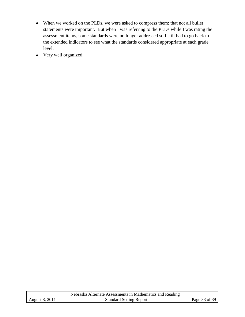- When we worked on the PLDs, we were asked to compress them; that not all bullet statements were important. But when I was referring to the PLDs while I was rating the assessment items, some standards were no longer addressed so I still had to go back to the extended indicators to see what the standards considered appropriate at each grade level.
- Very well organized.

|                       | Nebraska Alternate Assessments in Mathematics and Reading |               |
|-----------------------|-----------------------------------------------------------|---------------|
| <b>August 8, 2011</b> | <b>Standard Setting Report</b>                            | Page 33 of 39 |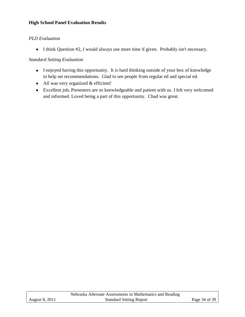#### **High School Panel Evaluation Results**

#### *PLD Evaluation*

• I think Question #2, I would always use more time if given. Probably isn't necessary.

#### *Standard Setting Evaluation*

- I enjoyed having this opportunity. It is hard thinking outside of your box of knowledge to help set recommendations. Glad to see people from regular ed and special ed.
- All was very organized & efficient!
- Excellent job, Presenters are so knowledgeable and patient with us. I felt very welcomed and informed. Loved being a part of this opportunity. Chad was great.

|                       | Nebraska Alternate Assessments in Mathematics and Reading |               |
|-----------------------|-----------------------------------------------------------|---------------|
| <b>August 8, 2011</b> | <b>Standard Setting Report</b>                            | Page 34 of 39 |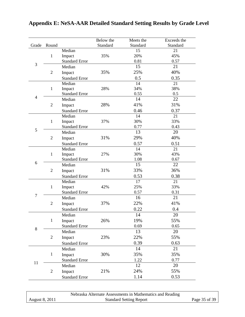|                           |                                                  |                                                                                                                                     | Below the         | Meets the                                             | Exceeds the                                           |
|---------------------------|--------------------------------------------------|-------------------------------------------------------------------------------------------------------------------------------------|-------------------|-------------------------------------------------------|-------------------------------------------------------|
| Grade                     | Round                                            |                                                                                                                                     | Standard          | Standard                                              | Standard                                              |
|                           |                                                  | Median                                                                                                                              |                   | 15                                                    | 21                                                    |
|                           | $\mathbf{1}$                                     | Impact                                                                                                                              | 35%               | 20%                                                   | 45%                                                   |
| 3                         |                                                  | <b>Standard Error</b>                                                                                                               |                   | 0.81                                                  | 0.57                                                  |
|                           |                                                  | Median                                                                                                                              |                   | 15                                                    | 21                                                    |
|                           | $\overline{2}$                                   | Impact                                                                                                                              | 35%               | 25%                                                   | 40%                                                   |
|                           |                                                  | <b>Standard Error</b>                                                                                                               |                   | 0.5                                                   | 0.35                                                  |
|                           |                                                  | Median                                                                                                                              |                   | 14                                                    | 21                                                    |
|                           | $\mathbf{1}$                                     | Impact                                                                                                                              | 28%               | 34%                                                   | 38%                                                   |
| $\overline{4}$            |                                                  | <b>Standard Error</b>                                                                                                               |                   | 0.55                                                  | 0.5                                                   |
|                           |                                                  | Median                                                                                                                              |                   | 14                                                    | 22                                                    |
|                           | $\sqrt{2}$                                       | Impact                                                                                                                              | 28%               | 41%                                                   | 31%                                                   |
|                           |                                                  | <b>Standard Error</b>                                                                                                               |                   | 0.46                                                  | 0.37                                                  |
|                           |                                                  | Median                                                                                                                              |                   | 14                                                    | 21                                                    |
|                           | $\mathbf{1}$                                     | Impact                                                                                                                              | 37%               | 30%                                                   | 33%                                                   |
| 5                         |                                                  | <b>Standard Error</b>                                                                                                               |                   | 0.77                                                  | 0.43                                                  |
|                           |                                                  | Median                                                                                                                              |                   | 13                                                    | 20                                                    |
|                           | $\overline{2}$                                   | Impact                                                                                                                              | 31%               | 29%                                                   | 40%                                                   |
|                           |                                                  | <b>Standard Error</b>                                                                                                               |                   | 0.57                                                  | 0.51                                                  |
|                           | $\mathbf{1}$                                     | Median                                                                                                                              |                   | 14                                                    | 21                                                    |
|                           |                                                  | Impact                                                                                                                              | 27%               | 30%                                                   | 43%                                                   |
| 6                         |                                                  | <b>Standard Error</b>                                                                                                               |                   | 1.08                                                  | 0.67                                                  |
|                           | $\sqrt{2}$                                       | Median                                                                                                                              |                   | 15                                                    | 22                                                    |
|                           |                                                  | Impact                                                                                                                              | 31%               | 33%                                                   | 36%                                                   |
|                           |                                                  | <b>Standard Error</b>                                                                                                               |                   | 0.53                                                  | 0.38                                                  |
|                           |                                                  | Median                                                                                                                              |                   | 17                                                    | 21                                                    |
|                           | $\mathbf{1}$                                     | Impact                                                                                                                              | 42%               | 25%                                                   | 33%                                                   |
|                           |                                                  | <b>Standard Error</b>                                                                                                               |                   | 0.57                                                  | 0.31                                                  |
|                           |                                                  | Median                                                                                                                              |                   |                                                       |                                                       |
|                           | $\mathfrak{2}$                                   | Impact                                                                                                                              | 37%               | 22%                                                   | 41%                                                   |
|                           |                                                  | <b>Standard Error</b>                                                                                                               |                   | 0.22                                                  | 0.4                                                   |
|                           |                                                  | Median                                                                                                                              |                   | 14                                                    | 20                                                    |
|                           | $\mathbf 1$                                      |                                                                                                                                     | 26%               | 19%                                                   | 55%                                                   |
|                           |                                                  | <b>Standard Error</b>                                                                                                               |                   | 0.69                                                  | 0.65                                                  |
|                           |                                                  | Median                                                                                                                              |                   | 13                                                    | 20                                                    |
|                           |                                                  |                                                                                                                                     |                   |                                                       |                                                       |
|                           |                                                  |                                                                                                                                     |                   |                                                       |                                                       |
|                           |                                                  |                                                                                                                                     |                   | 14                                                    | 21                                                    |
|                           |                                                  |                                                                                                                                     |                   |                                                       |                                                       |
|                           |                                                  |                                                                                                                                     |                   |                                                       |                                                       |
|                           |                                                  |                                                                                                                                     |                   |                                                       |                                                       |
|                           |                                                  |                                                                                                                                     |                   |                                                       |                                                       |
|                           |                                                  |                                                                                                                                     |                   |                                                       |                                                       |
| $\overline{7}$<br>8<br>11 | $\overline{c}$<br>$\mathbf{1}$<br>$\overline{c}$ | Impact<br>Impact<br><b>Standard Error</b><br>Median<br>Impact<br><b>Standard Error</b><br>Median<br>Impact<br><b>Standard Error</b> | 23%<br>30%<br>21% | 16<br>22%<br>0.39<br>35%<br>1.22<br>12<br>24%<br>1.14 | 21<br>55%<br>0.63<br>35%<br>0.77<br>20<br>55%<br>0.53 |

# <span id="page-34-0"></span>**Appendix E: NeSA-AAR Detailed Standard Setting Results by Grade Level**

|                       | Nebraska Alternate Assessments in Mathematics and Reading |               |
|-----------------------|-----------------------------------------------------------|---------------|
| <b>August 8, 2011</b> | <b>Standard Setting Report</b>                            | Page 35 of 39 |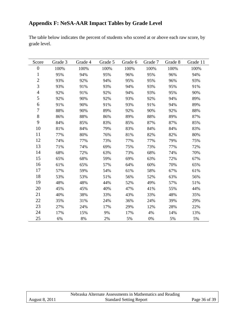# <span id="page-35-0"></span>**Appendix F: NeSA-AAR Impact Tables by Grade Level**

The table below indicates the percent of students who scored at or above each raw score, by grade level.

| Score          | Grade 3 | Grade 4 | Grade 5 | Grade 6 | Grade 7 | Grade 8 | Grade 11 |
|----------------|---------|---------|---------|---------|---------|---------|----------|
| $\overline{0}$ | 100%    | 100%    | 100%    | 100%    | 100%    | 100%    | 100%     |
| 1              | 95%     | 94%     | 95%     | 96%     | 95%     | 96%     | 94%      |
| $\overline{2}$ | 93%     | 92%     | 94%     | 95%     | 95%     | 96%     | 93%      |
| 3              | 93%     | 91%     | 93%     | 94%     | 93%     | 95%     | 91%      |
| $\overline{4}$ | 92%     | 91%     | 92%     | 94%     | 93%     | 95%     | 90%      |
| 5              | 92%     | 90%     | 92%     | 93%     | 92%     | 94%     | 89%      |
| 6              | 91%     | 90%     | 91%     | 93%     | 91%     | 94%     | 89%      |
| $\tau$         | 88%     | 90%     | 89%     | 92%     | 90%     | 92%     | 88%      |
| $8\,$          | 86%     | 88%     | 86%     | 89%     | 88%     | 89%     | 87%      |
| 9              | 84%     | 85%     | 83%     | 85%     | 87%     | 87%     | 85%      |
| 10             | 81%     | 84%     | 79%     | 83%     | 84%     | 84%     | 83%      |
| 11             | 77%     | 80%     | 76%     | 81%     | 82%     | 82%     | 80%      |
| 12             | 74%     | 77%     | 73%     | 77%     | 77%     | 79%     | 75%      |
| 13             | 71%     | 74%     | 69%     | 75%     | 73%     | 77%     | 72%      |
| 14             | 68%     | 72%     | 63%     | 73%     | 68%     | 74%     | 70%      |
| 15             | 65%     | 68%     | 59%     | 69%     | 63%     | 72%     | 67%      |
| 16             | 61%     | 65%     | 57%     | 64%     | 60%     | 70%     | 65%      |
| 17             | 57%     | 59%     | 54%     | 61%     | 58%     | 67%     | 61%      |
| 18             | 53%     | 53%     | 51%     | 56%     | 52%     | 63%     | 56%      |
| 19             | 48%     | 48%     | 44%     | 52%     | 49%     | 57%     | 51%      |
| 20             | 45%     | 45%     | 40%     | 47%     | 41%     | 55%     | 44%      |
| 21             | 40%     | 38%     | 33%     | 43%     | 33%     | 48%     | 35%      |
| 22             | 35%     | 31%     | 24%     | 36%     | 24%     | 39%     | 29%      |
| 23             | 27%     | 24%     | 17%     | 29%     | 12%     | 28%     | 22%      |
| 24             | 17%     | 15%     | 9%      | 17%     | 4%      | 14%     | 13%      |
| 25             | 6%      | 8%      | 2%      | 5%      | 0%      | 5%      | 5%       |

|                | Nebraska Alternate Assessments in Mathematics and Reading |               |
|----------------|-----------------------------------------------------------|---------------|
| August 8, 2011 | <b>Standard Setting Report</b>                            | Page 36 of 39 |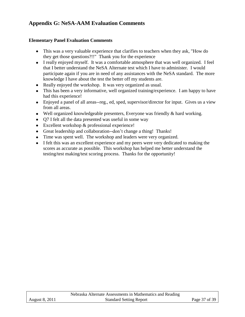# <span id="page-36-0"></span>**Appendix G: NeSA-AAM Evaluation Comments**

#### **Elementary Panel Evaluation Comments**

- This was a very valuable experience that clarifies to teachers when they ask, "How do they get those questions?!!" Thank you for the experience
- I really enjoyed myself. It was a comfortable atmosphere that was well organized. I feel that I better understand the NeSA Alternate test which I have to administer. I would participate again if you are in need of any assistances with the NeSA standard. The more knowledge I have about the test the better off my students are.
- Really enjoyed the workshop. It was very organized as usual.
- This has been a very informative, well organized training/experience. I am happy to have had this experience!
- Enjoyed a panel of all areas--reg., ed, sped, supervisor/director for input. Gives us a view from all areas.
- Well organized knowledgeable presenters, Everyone was friendly & hard working.
- Q7 I felt all the data presented was useful in some way
- Excellent workshop & professional experience!
- Great leadership and collaboration--don't change a thing! Thanks!
- Time was spent well. The workshop and leaders were very organized.
- I felt this was an excellent experience and my peers were very dedicated to making the scores as accurate as possible. This workshop has helped me better understand the testing/test making/test scoring process. Thanks for the opportunity!

|                       | Nebraska Alternate Assessments in Mathematics and Reading |               |
|-----------------------|-----------------------------------------------------------|---------------|
| <b>August 8, 2011</b> | <b>Standard Setting Report</b>                            | Page 37 of 39 |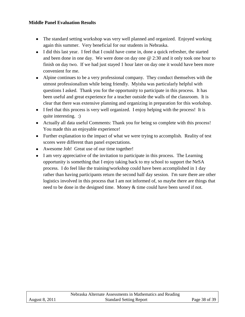#### **Middle Panel Evaluation Results**

- The standard setting workshop was very well planned and organized. Enjoyed working again this summer. Very beneficial for our students in Nebraska.
- I did this last year. I feel that I could have come in, done a quick refresher, the started and been done in one day. We were done on day one @ 2:30 and it only took one hour to finish on day two. If we had just stayed 1 hour later on day one it would have been more convenient for me.
- Alpine continues to be a very professional company. They conduct themselves with the utmost professionalism while being friendly. Myisha was particularly helpful with questions I asked. Thank you for the opportunity to participate in this process. It has been useful and great experience for a teacher outside the walls of the classroom. It is clear that there was extensive planning and organizing in preparation for this workshop.
- I feel that this process is very well organized. I enjoy helping with the process! It is quite interesting. :)
- Actually all data useful Comments: Thank you for being so complete with this process! You made this an enjoyable experience!
- Further explanation to the impact of what we were trying to accomplish. Reality of test scores were different than panel expectations.
- Awesome Job! Great use of our time together!
- I am very appreciative of the invitation to participate in this process. The Learning opportunity is something that I enjoy taking back to my school to support the NeSA process. I do feel like the training/workshop could have been accomplished in 1 day rather than having participants return the second half day session. I'm sure there are other logistics involved in this process that I am not informed of, so maybe there are things that need to be done in the designed time. Money & time could have been saved if not.

|                       | Nebraska Alternate Assessments in Mathematics and Reading |               |
|-----------------------|-----------------------------------------------------------|---------------|
| <b>August 8, 2011</b> | <b>Standard Setting Report</b>                            | Page 38 of 39 |